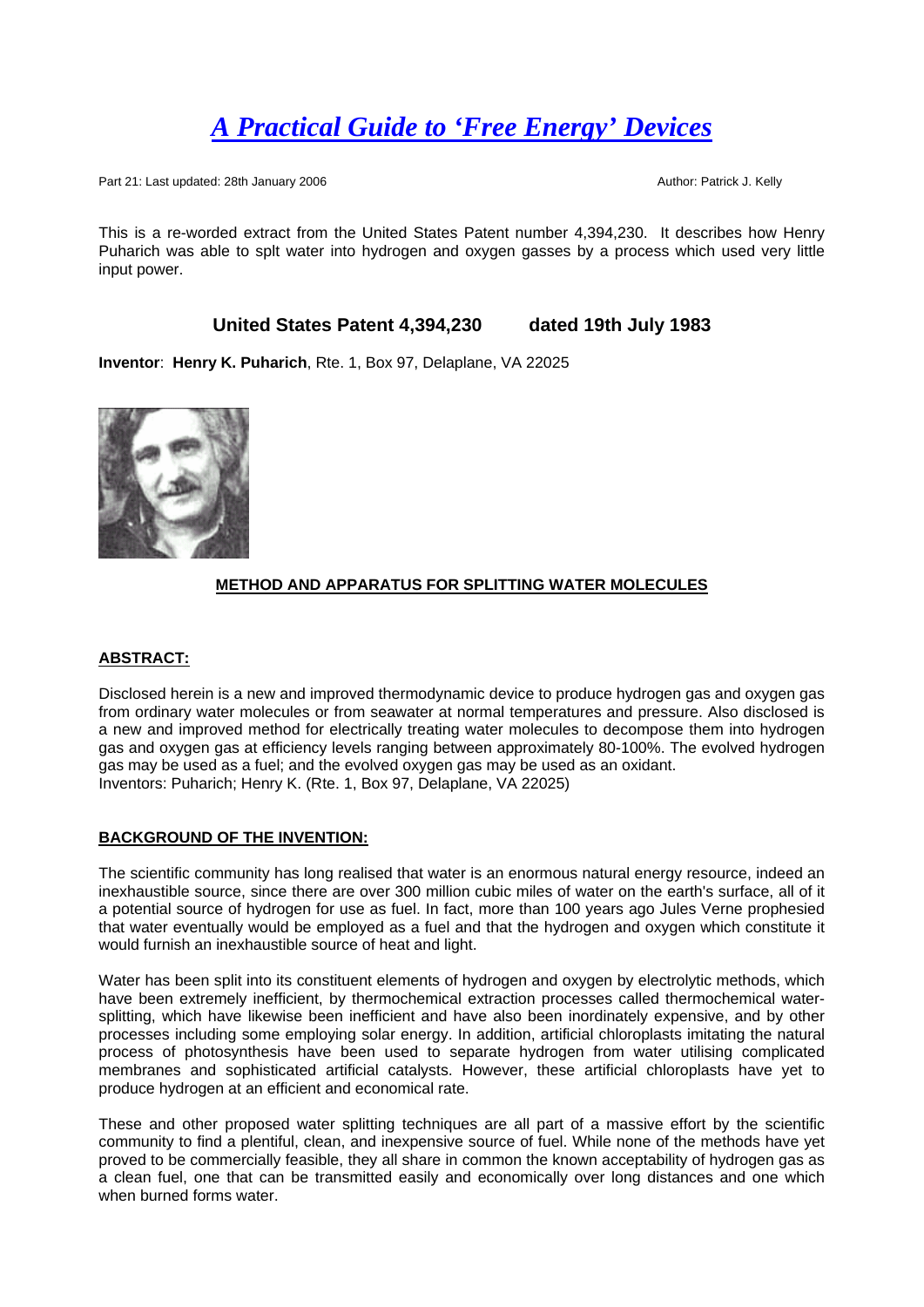# *A Practical Guide to 'Free Energy' Devices*

Part 21: Last updated: 28th January 2006 Author: Patrick J. Kelly

This is a re-worded extract from the United States Patent number 4,394,230. It describes how Henry Puharich was able to splt water into hydrogen and oxygen gasses by a process which used very little input power.

**United States Patent 4,394,230 dated 19th July 1983**

**Inventor**: **Henry K. Puharich**, Rte. 1, Box 97, Delaplane, VA 22025



# **METHOD AND APPARATUS FOR SPLITTING WATER MOLECULES**

# **ABSTRACT:**

Disclosed herein is a new and improved thermodynamic device to produce hydrogen gas and oxygen gas from ordinary water molecules or from seawater at normal temperatures and pressure. Also disclosed is a new and improved method for electrically treating water molecules to decompose them into hydrogen gas and oxygen gas at efficiency levels ranging between approximately 80-100%. The evolved hydrogen gas may be used as a fuel; and the evolved oxygen gas may be used as an oxidant. Inventors: Puharich; Henry K. (Rte. 1, Box 97, Delaplane, VA 22025)

# **BACKGROUND OF THE INVENTION:**

The scientific community has long realised that water is an enormous natural energy resource, indeed an inexhaustible source, since there are over 300 million cubic miles of water on the earth's surface, all of it a potential source of hydrogen for use as fuel. In fact, more than 100 years ago Jules Verne prophesied that water eventually would be employed as a fuel and that the hydrogen and oxygen which constitute it would furnish an inexhaustible source of heat and light.

Water has been split into its constituent elements of hydrogen and oxygen by electrolytic methods, which have been extremely inefficient, by thermochemical extraction processes called thermochemical watersplitting, which have likewise been inefficient and have also been inordinately expensive, and by other processes including some employing solar energy. In addition, artificial chloroplasts imitating the natural process of photosynthesis have been used to separate hydrogen from water utilising complicated membranes and sophisticated artificial catalysts. However, these artificial chloroplasts have yet to produce hydrogen at an efficient and economical rate.

These and other proposed water splitting techniques are all part of a massive effort by the scientific community to find a plentiful, clean, and inexpensive source of fuel. While none of the methods have yet proved to be commercially feasible, they all share in common the known acceptability of hydrogen gas as a clean fuel, one that can be transmitted easily and economically over long distances and one which when burned forms water.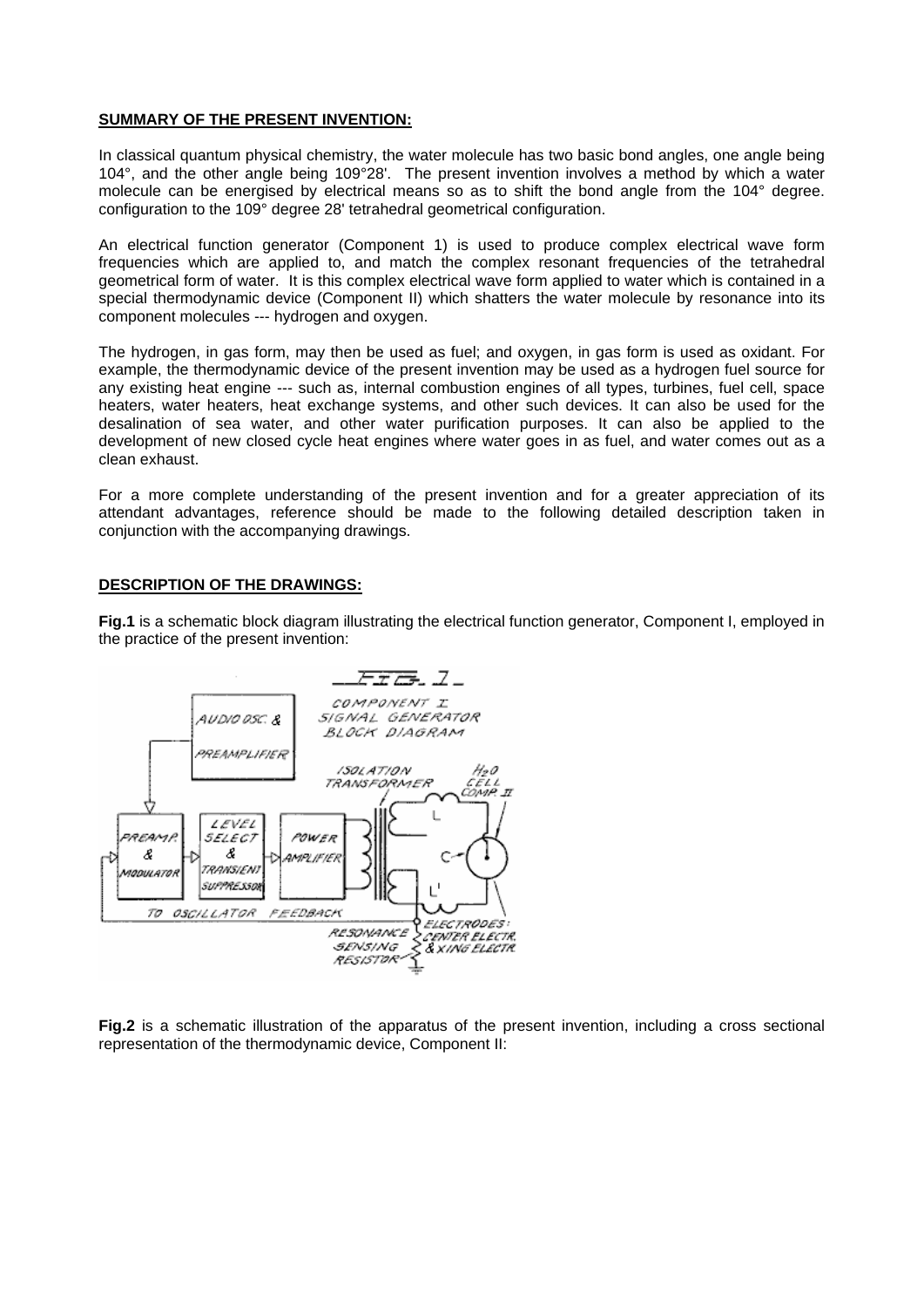#### **SUMMARY OF THE PRESENT INVENTION:**

In classical quantum physical chemistry, the water molecule has two basic bond angles, one angle being 104°, and the other angle being 109°28'. The present invention involves a method by which a water molecule can be energised by electrical means so as to shift the bond angle from the 104° degree. configuration to the 109° degree 28' tetrahedral geometrical configuration.

An electrical function generator (Component 1) is used to produce complex electrical wave form frequencies which are applied to, and match the complex resonant frequencies of the tetrahedral geometrical form of water. It is this complex electrical wave form applied to water which is contained in a special thermodynamic device (Component II) which shatters the water molecule by resonance into its component molecules --- hydrogen and oxygen.

The hydrogen, in gas form, may then be used as fuel; and oxygen, in gas form is used as oxidant. For example, the thermodynamic device of the present invention may be used as a hydrogen fuel source for any existing heat engine --- such as, internal combustion engines of all types, turbines, fuel cell, space heaters, water heaters, heat exchange systems, and other such devices. It can also be used for the desalination of sea water, and other water purification purposes. It can also be applied to the development of new closed cycle heat engines where water goes in as fuel, and water comes out as a clean exhaust.

For a more complete understanding of the present invention and for a greater appreciation of its attendant advantages, reference should be made to the following detailed description taken in conjunction with the accompanying drawings.

# **DESCRIPTION OF THE DRAWINGS:**

**Fig.1** is a schematic block diagram illustrating the electrical function generator, Component I, employed in the practice of the present invention:



**Fig.2** is a schematic illustration of the apparatus of the present invention, including a cross sectional representation of the thermodynamic device, Component II: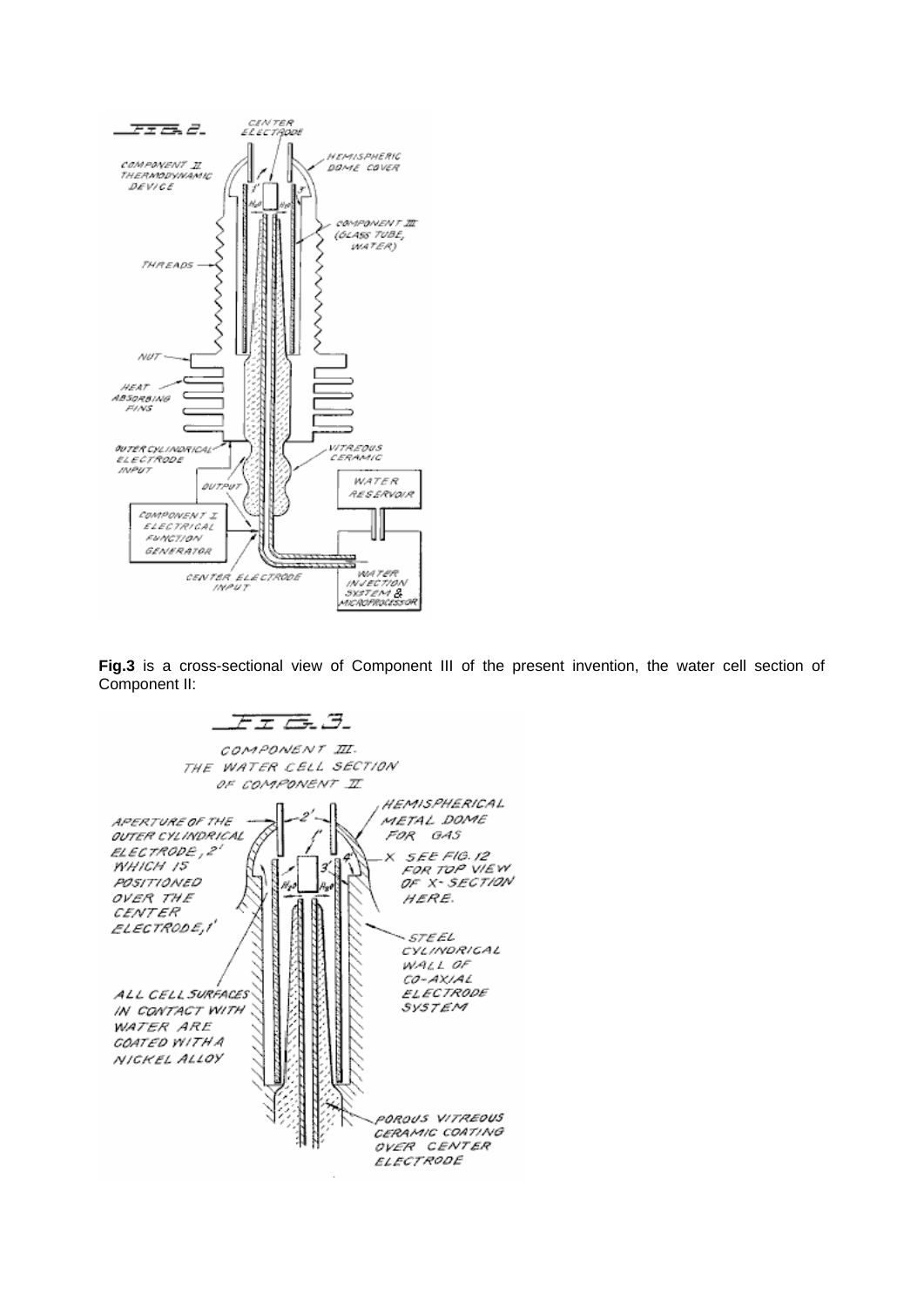

**Fig.3** is a cross-sectional view of Component III of the present invention, the water cell section of Component II:

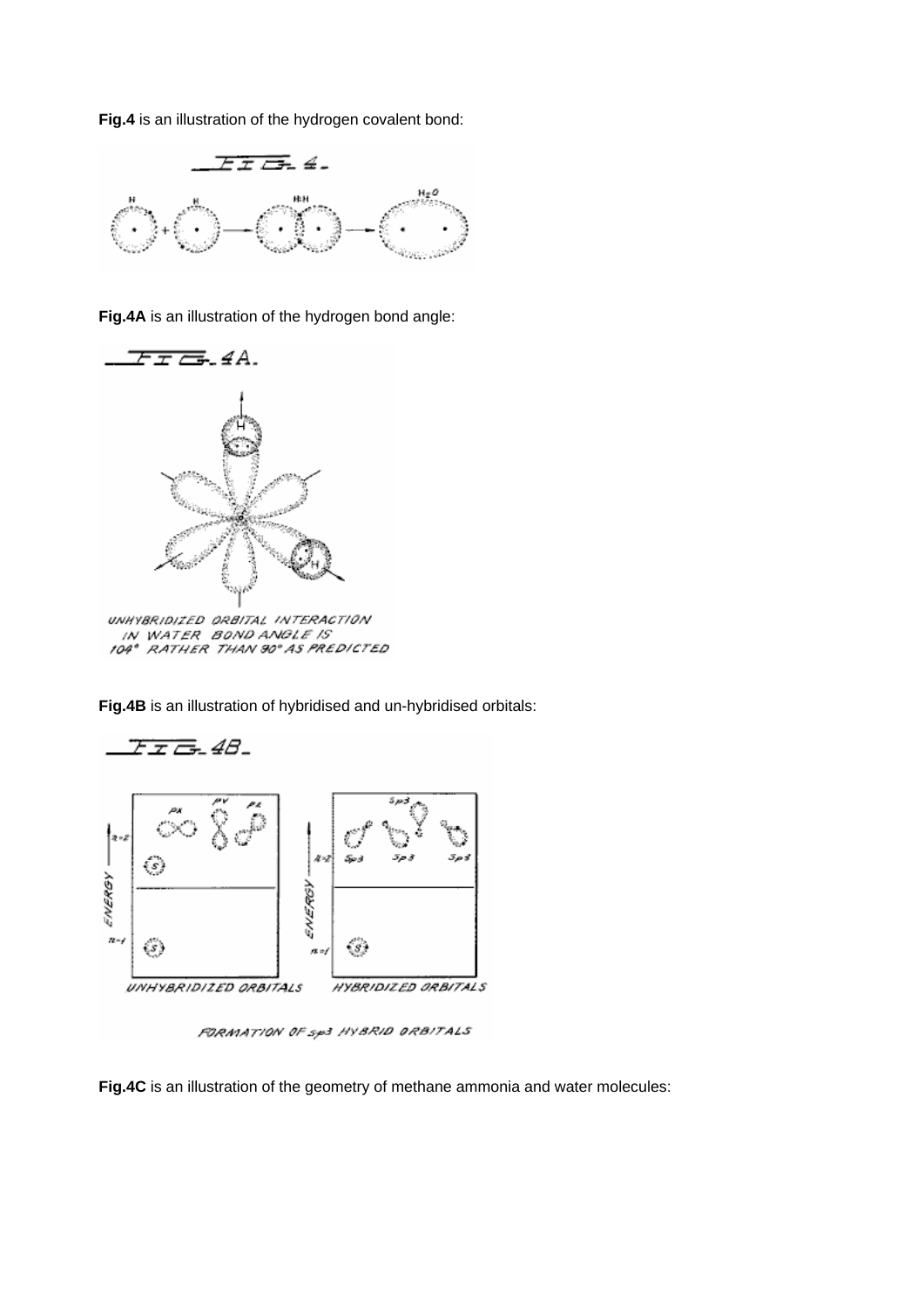**Fig.4** is an illustration of the hydrogen covalent bond:



**Fig.4A** is an illustration of the hydrogen bond angle:



**Fig.4B** is an illustration of hybridised and un-hybridised orbitals:



FORMATION OF SP3 HYBRID ORBITALS

**Fig.4C** is an illustration of the geometry of methane ammonia and water molecules: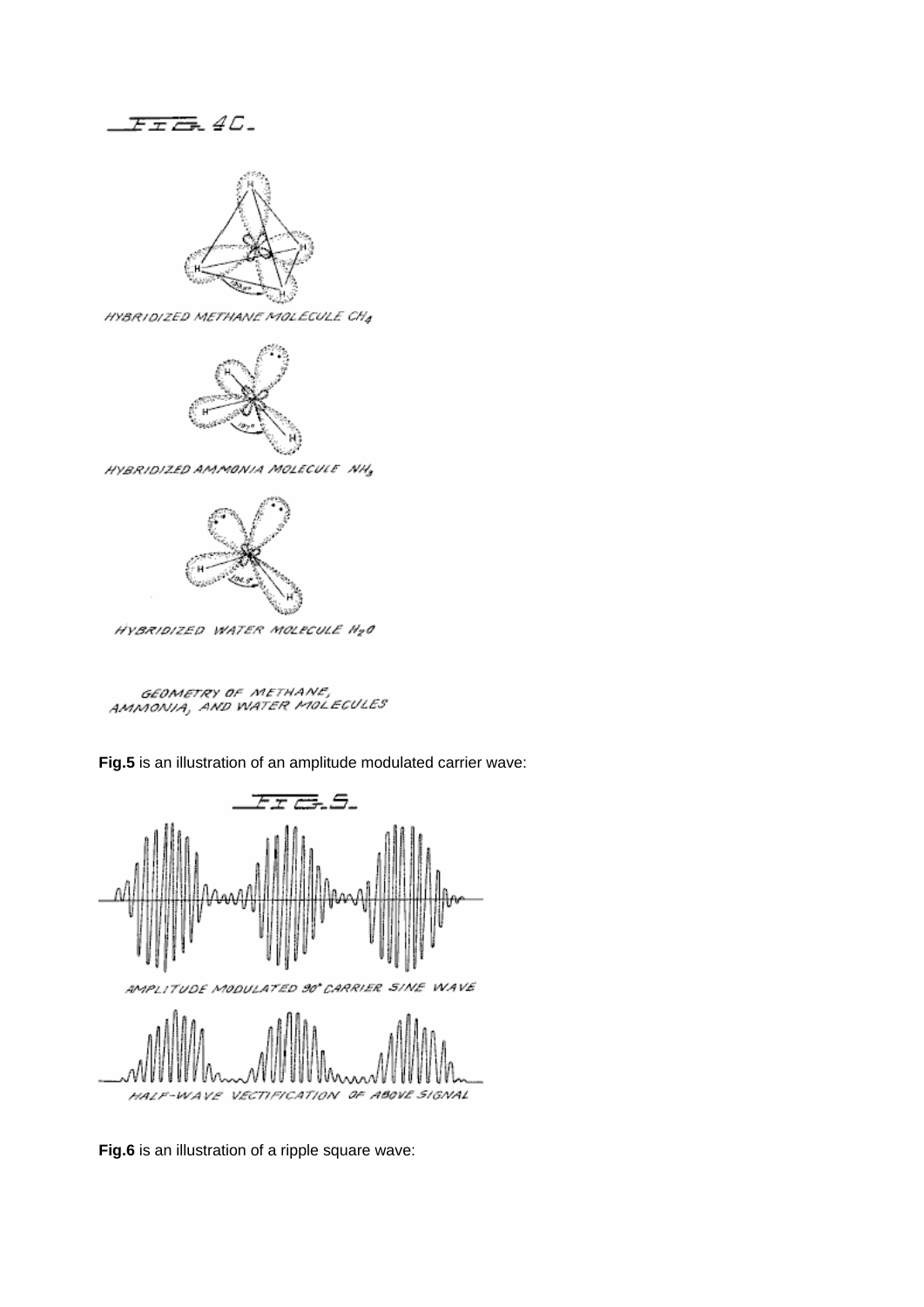FFE.4C.



HYBRIDIZED METHANE MOLECULE CHA



HYBRIDIZED AMMONIA MOLECULE NH3



HYBRIDIZED WATER MOLECULE H20

GEOMETRY OF METHANE,<br>AMMONIA, AND WATER MOLECULES

**Fig.5** is an illustration of an amplitude modulated carrier wave:



**Fig.6** is an illustration of a ripple square wave: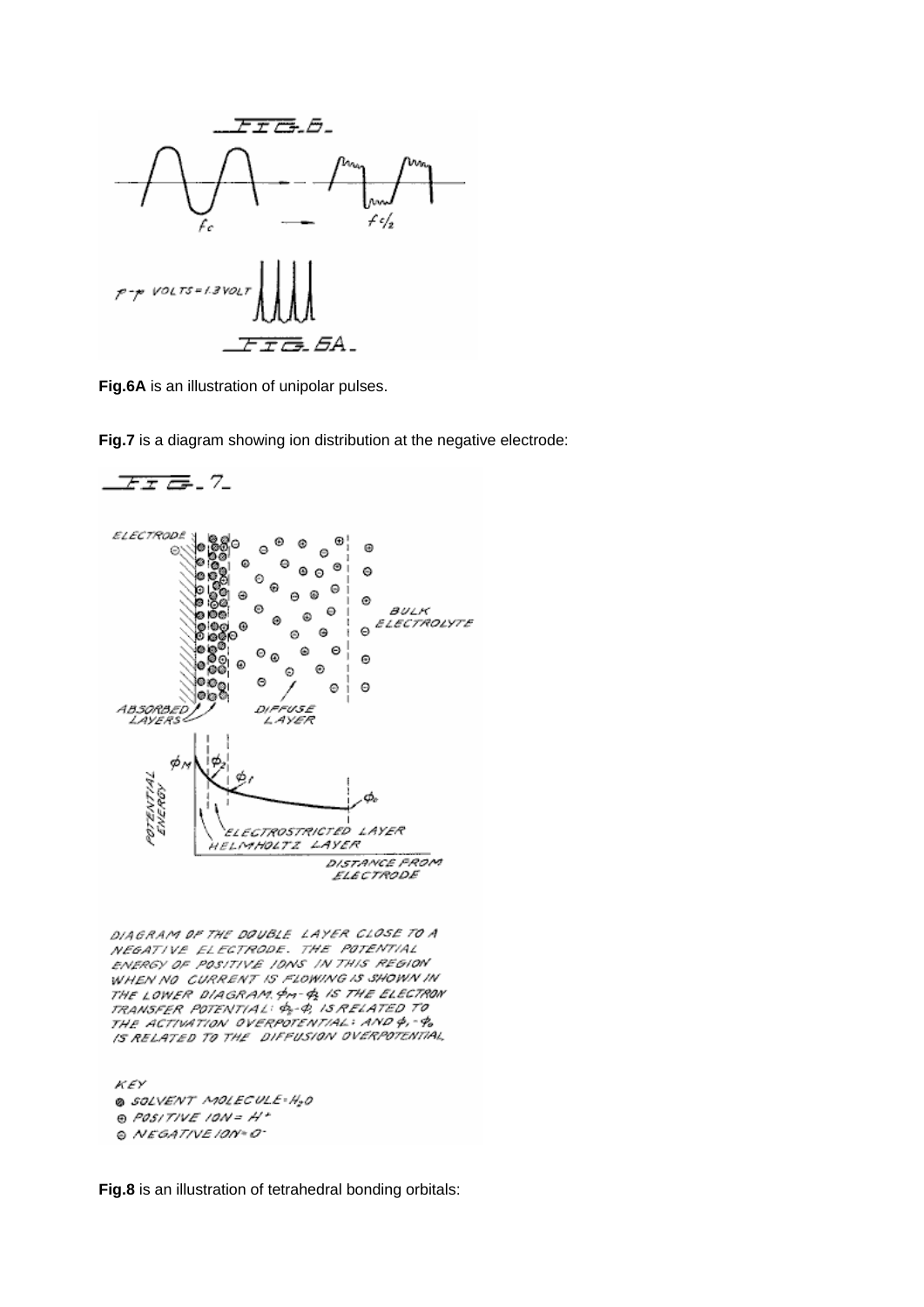

**Fig.6A** is an illustration of unipolar pulses.

**Fig.7** is a diagram showing ion distribution at the negative electrode:



DIAGRAM OF THE DOUBLE LAYER CLOSE TO A NEGATIVE ELECTROPE. THE POTENTIAL<br>ENERGY OF POSITIVE IONS IN THIS REGION WHEN NO CURRENT IS FLOWING IS SHOWN IN THE LOWER DIAGRAM. On- 4 IS THE ELECTRON<br>TRANSFER POTENTIAL : 42-4, IS RELATED TO THE ACTIVATION OVERPOTENTIAL: AND \$,-\$ IS RELATED TO THE DIFFUSION OVERPOTENTIAL

KEY

- @ SOLVENT MOLECULE=H2O  $\Theta$  POSITIVE ION = H<sup>+</sup>
- @ NEGATIVE ION=0

**Fig.8** is an illustration of tetrahedral bonding orbitals: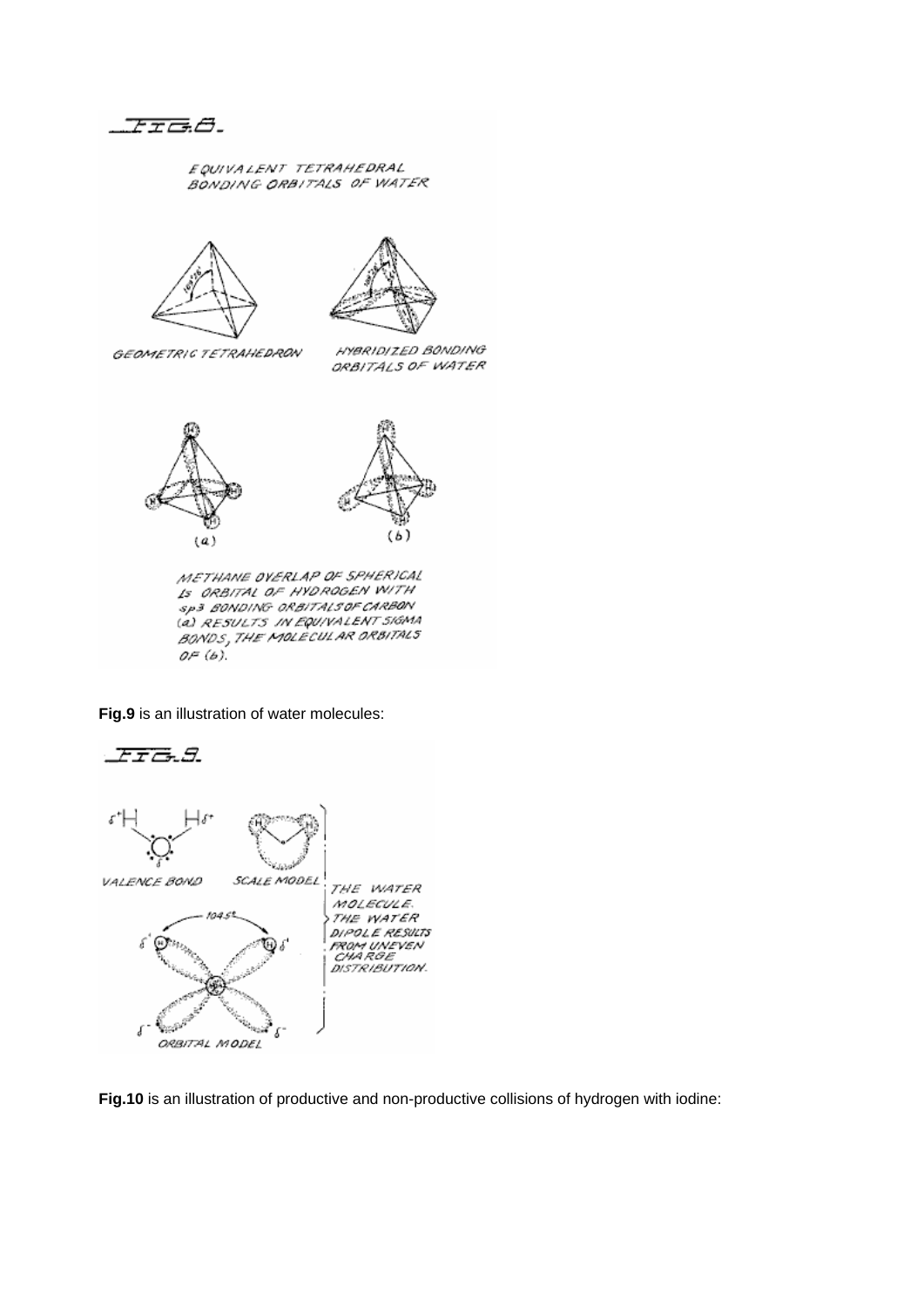*Fre*e

#### EQUIVALENT TETRAHEDRAL BONDING ORBITALS OF WATER





GEOMETRIC TETRAHEDRON

HYBRIDIZED BONDING ORBITALS OF WATER



METHANE OVERLAP OF SPHERICAL IS ORBITAL OF HYDROGEN WITH SP3 BONDING ORBITALS OF CARBON (a) RESULTS IN EQUIVALENT SIGMA BONDS, THE MOLECULAR ORBITALS  $OF(b)$ 

**Fig.9** is an illustration of water molecules:



**Fig.10** is an illustration of productive and non-productive collisions of hydrogen with iodine: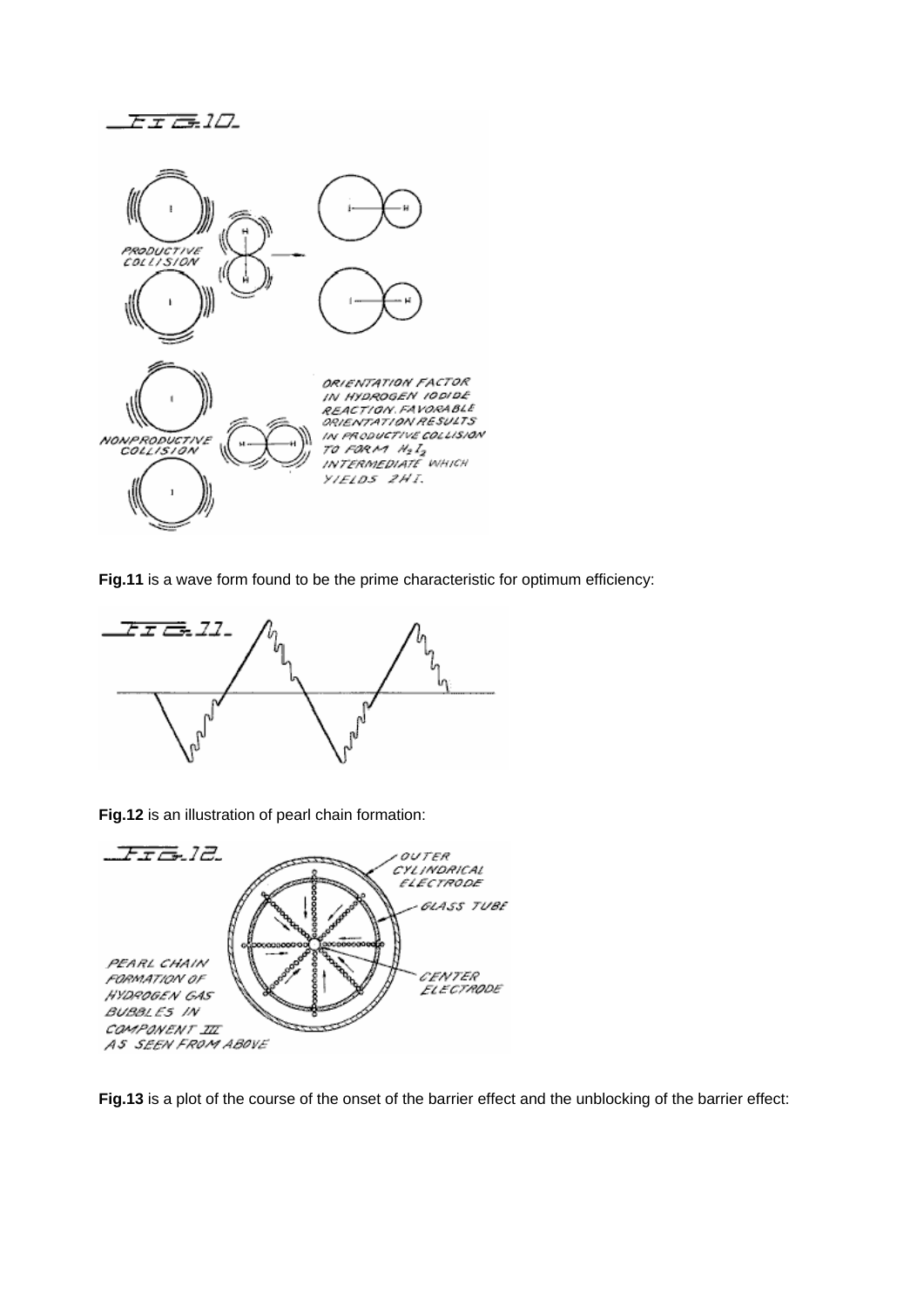



**Fig.11** is a wave form found to be the prime characteristic for optimum efficiency:



**Fig.12** is an illustration of pearl chain formation:



**Fig.13** is a plot of the course of the onset of the barrier effect and the unblocking of the barrier effect: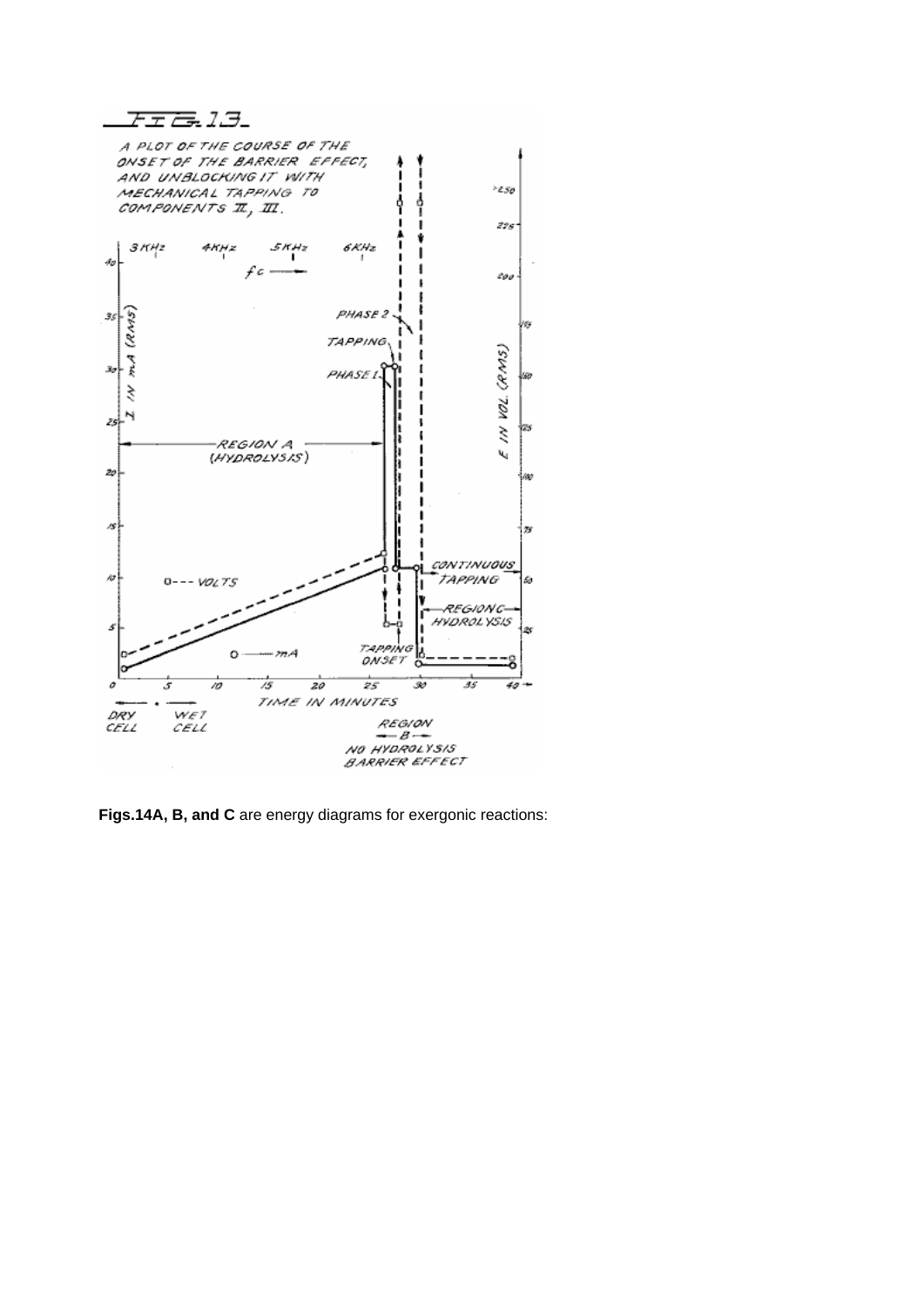

**Figs.14A, B, and C** are energy diagrams for exergonic reactions: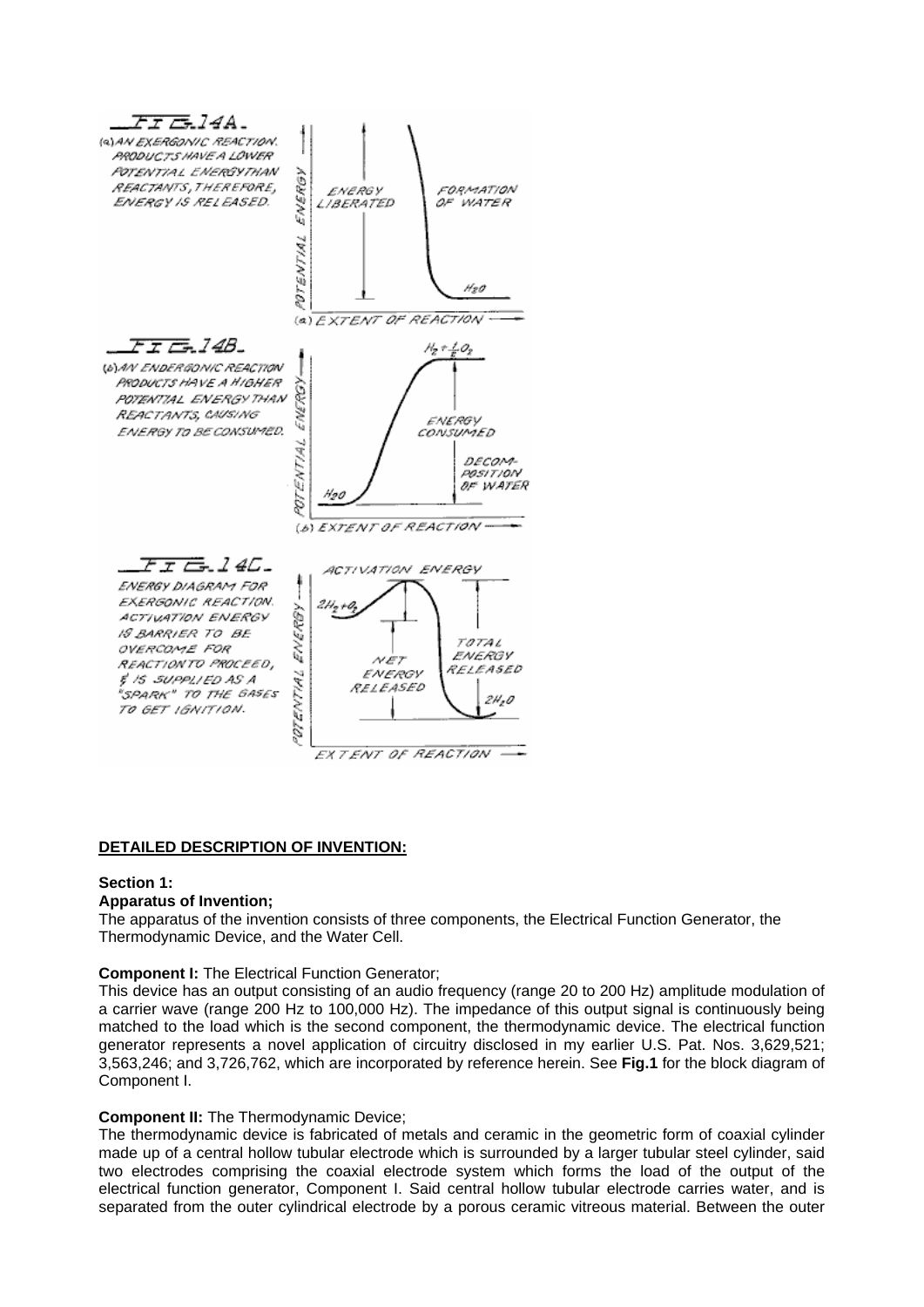

#### **DETAILED DESCRIPTION OF INVENTION:**

#### **Section 1:**

#### **Apparatus of Invention;**

The apparatus of the invention consists of three components, the Electrical Function Generator, the Thermodynamic Device, and the Water Cell.

#### **Component I:** The Electrical Function Generator;

This device has an output consisting of an audio frequency (range 20 to 200 Hz) amplitude modulation of a carrier wave (range 200 Hz to 100,000 Hz). The impedance of this output signal is continuously being matched to the load which is the second component, the thermodynamic device. The electrical function generator represents a novel application of circuitry disclosed in my earlier U.S. Pat. Nos. 3,629,521; 3,563,246; and 3,726,762, which are incorporated by reference herein. See **Fig.1** for the block diagram of Component I.

#### **Component II:** The Thermodynamic Device;

The thermodynamic device is fabricated of metals and ceramic in the geometric form of coaxial cylinder made up of a central hollow tubular electrode which is surrounded by a larger tubular steel cylinder, said two electrodes comprising the coaxial electrode system which forms the load of the output of the electrical function generator, Component I. Said central hollow tubular electrode carries water, and is separated from the outer cylindrical electrode by a porous ceramic vitreous material. Between the outer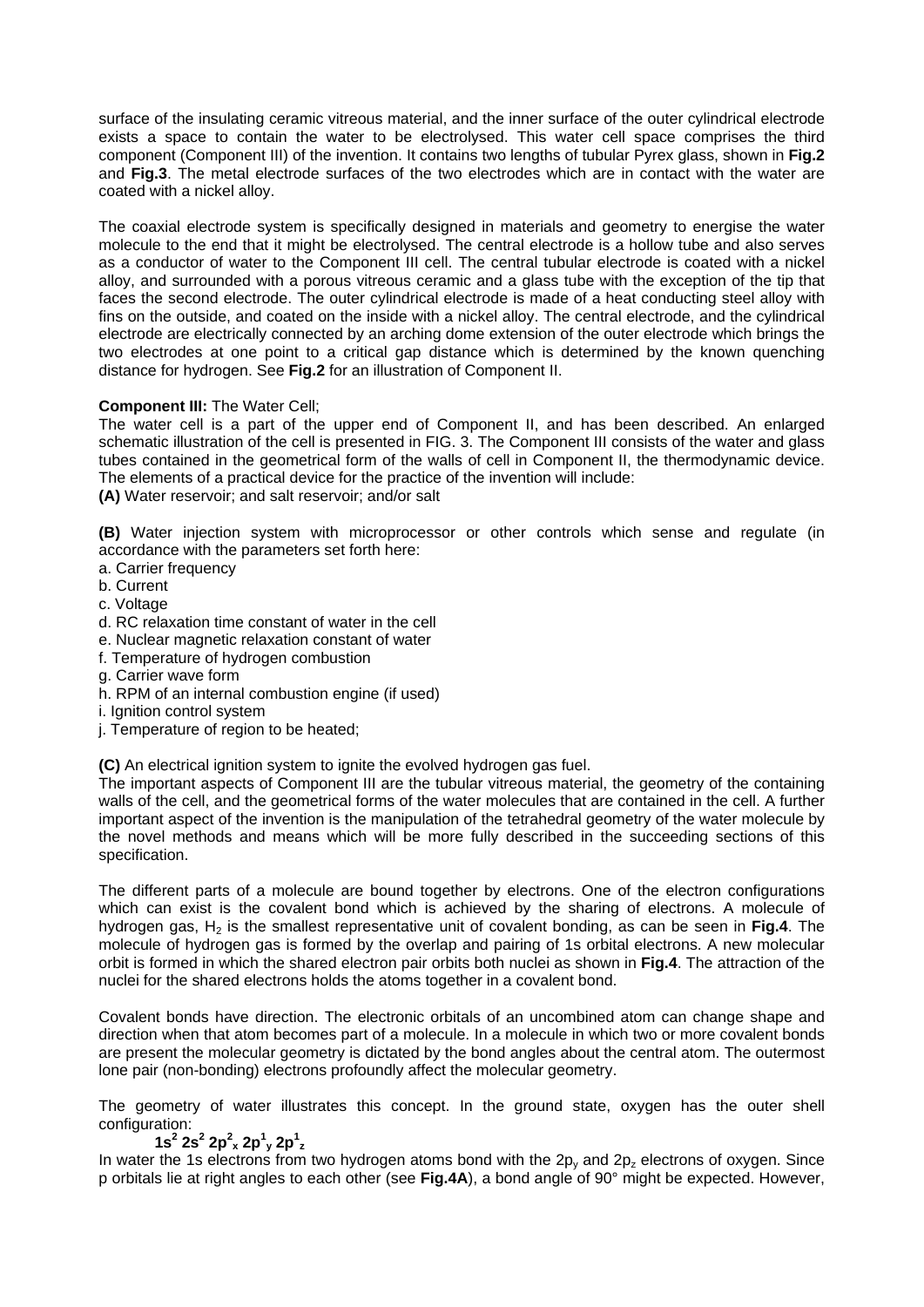surface of the insulating ceramic vitreous material, and the inner surface of the outer cylindrical electrode exists a space to contain the water to be electrolysed. This water cell space comprises the third component (Component III) of the invention. It contains two lengths of tubular Pyrex glass, shown in **Fig.2** and **Fig.3**. The metal electrode surfaces of the two electrodes which are in contact with the water are coated with a nickel alloy.

The coaxial electrode system is specifically designed in materials and geometry to energise the water molecule to the end that it might be electrolysed. The central electrode is a hollow tube and also serves as a conductor of water to the Component III cell. The central tubular electrode is coated with a nickel alloy, and surrounded with a porous vitreous ceramic and a glass tube with the exception of the tip that faces the second electrode. The outer cylindrical electrode is made of a heat conducting steel alloy with fins on the outside, and coated on the inside with a nickel alloy. The central electrode, and the cylindrical electrode are electrically connected by an arching dome extension of the outer electrode which brings the two electrodes at one point to a critical gap distance which is determined by the known quenching distance for hydrogen. See **Fig.2** for an illustration of Component II.

# **Component III:** The Water Cell;

The water cell is a part of the upper end of Component II, and has been described. An enlarged schematic illustration of the cell is presented in FIG. 3. The Component III consists of the water and glass tubes contained in the geometrical form of the walls of cell in Component II, the thermodynamic device. The elements of a practical device for the practice of the invention will include:

**(A)** Water reservoir; and salt reservoir; and/or salt

**(B)** Water injection system with microprocessor or other controls which sense and regulate (in accordance with the parameters set forth here:

- a. Carrier frequency
- b. Current
- c. Voltage
- d. RC relaxation time constant of water in the cell
- e. Nuclear magnetic relaxation constant of water
- f. Temperature of hydrogen combustion
- g. Carrier wave form
- h. RPM of an internal combustion engine (if used)
- i. Ignition control system
- j. Temperature of region to be heated;

**(C)** An electrical ignition system to ignite the evolved hydrogen gas fuel.

The important aspects of Component III are the tubular vitreous material, the geometry of the containing walls of the cell, and the geometrical forms of the water molecules that are contained in the cell. A further important aspect of the invention is the manipulation of the tetrahedral geometry of the water molecule by the novel methods and means which will be more fully described in the succeeding sections of this specification.

The different parts of a molecule are bound together by electrons. One of the electron configurations which can exist is the covalent bond which is achieved by the sharing of electrons. A molecule of hydrogen gas, H<sub>2</sub> is the smallest representative unit of covalent bonding, as can be seen in Fig.4. The molecule of hydrogen gas is formed by the overlap and pairing of 1s orbital electrons. A new molecular orbit is formed in which the shared electron pair orbits both nuclei as shown in **Fig.4**. The attraction of the nuclei for the shared electrons holds the atoms together in a covalent bond.

Covalent bonds have direction. The electronic orbitals of an uncombined atom can change shape and direction when that atom becomes part of a molecule. In a molecule in which two or more covalent bonds are present the molecular geometry is dictated by the bond angles about the central atom. The outermost lone pair (non-bonding) electrons profoundly affect the molecular geometry.

The geometry of water illustrates this concept. In the ground state, oxygen has the outer shell configuration:

 $1s^2 2s^2 2p^2$ **x**  $2p^1$ **y**  $2p^1$ **z** 

In water the 1s electrons from two hydrogen atoms bond with the  $2p<sub>v</sub>$  and  $2p<sub>z</sub>$  electrons of oxygen. Since p orbitals lie at right angles to each other (see **Fig.4A**), a bond angle of 90° might be expected. However,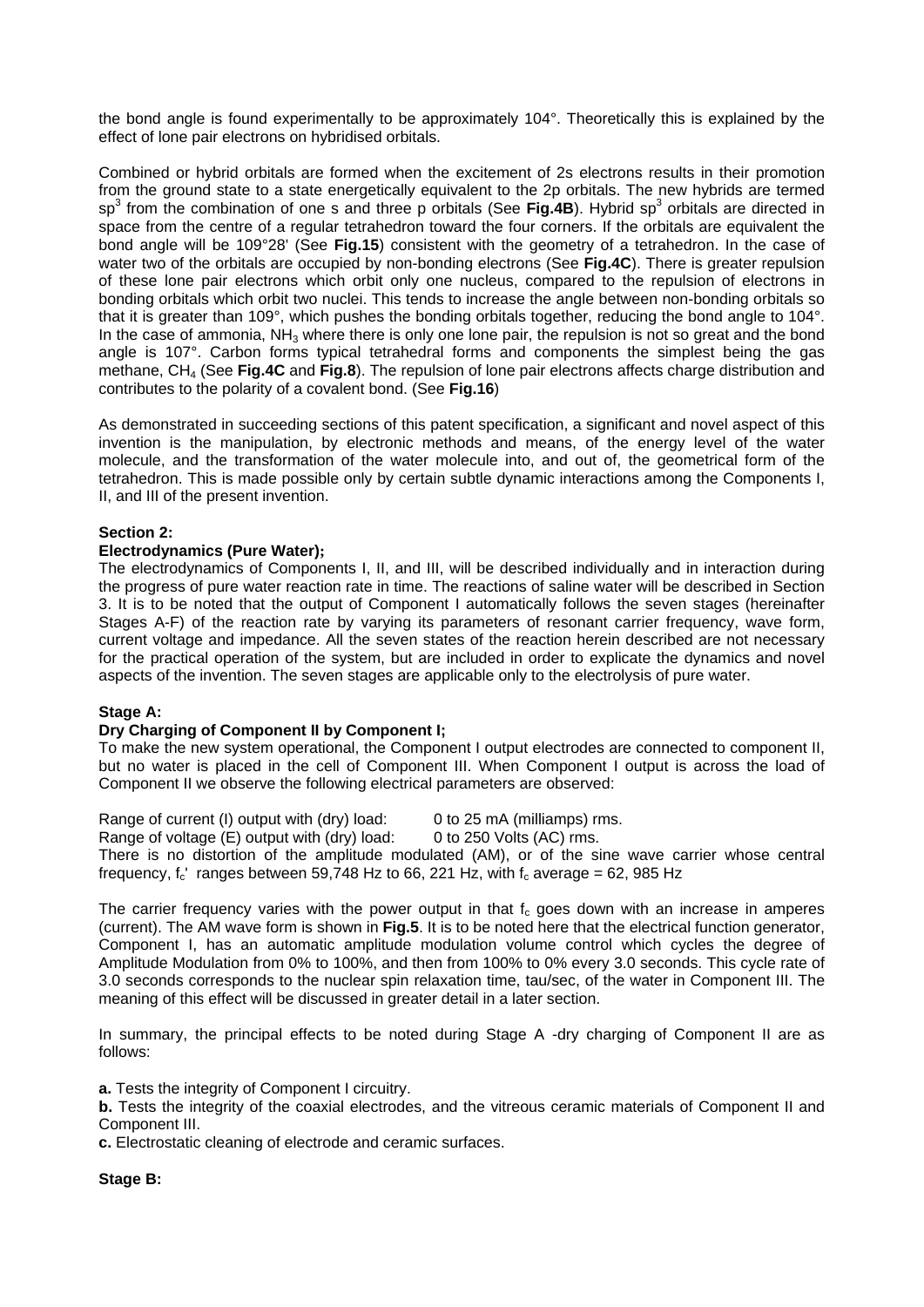the bond angle is found experimentally to be approximately 104°. Theoretically this is explained by the effect of lone pair electrons on hybridised orbitals.

Combined or hybrid orbitals are formed when the excitement of 2s electrons results in their promotion from the ground state to a state energetically equivalent to the 2p orbitals. The new hybrids are termed sp<sup>3</sup> from the combination of one s and three p orbitals (See Fig.4B). Hybrid sp<sup>3</sup> orbitals are directed in space from the centre of a regular tetrahedron toward the four corners. If the orbitals are equivalent the bond angle will be 109°28' (See **Fig.15**) consistent with the geometry of a tetrahedron. In the case of water two of the orbitals are occupied by non-bonding electrons (See **Fig.4C**). There is greater repulsion of these lone pair electrons which orbit only one nucleus, compared to the repulsion of electrons in bonding orbitals which orbit two nuclei. This tends to increase the angle between non-bonding orbitals so that it is greater than 109°, which pushes the bonding orbitals together, reducing the bond angle to 104°. In the case of ammonia,  $NH_3$  where there is only one lone pair, the repulsion is not so great and the bond angle is 107°. Carbon forms typical tetrahedral forms and components the simplest being the gas methane, CH4 (See **Fig.4C** and **Fig.8**). The repulsion of lone pair electrons affects charge distribution and contributes to the polarity of a covalent bond. (See **Fig.16**)

As demonstrated in succeeding sections of this patent specification, a significant and novel aspect of this invention is the manipulation, by electronic methods and means, of the energy level of the water molecule, and the transformation of the water molecule into, and out of, the geometrical form of the tetrahedron. This is made possible only by certain subtle dynamic interactions among the Components I, II, and III of the present invention.

#### **Section 2:**

#### **Electrodynamics (Pure Water);**

The electrodynamics of Components I, II, and III, will be described individually and in interaction during the progress of pure water reaction rate in time. The reactions of saline water will be described in Section 3. It is to be noted that the output of Component I automatically follows the seven stages (hereinafter Stages A-F) of the reaction rate by varying its parameters of resonant carrier frequency, wave form, current voltage and impedance. All the seven states of the reaction herein described are not necessary for the practical operation of the system, but are included in order to explicate the dynamics and novel aspects of the invention. The seven stages are applicable only to the electrolysis of pure water.

# **Stage A:**

#### **Dry Charging of Component II by Component I;**

To make the new system operational, the Component I output electrodes are connected to component II, but no water is placed in the cell of Component III. When Component I output is across the load of Component II we observe the following electrical parameters are observed:

Range of current (I) output with (dry) load: 0 to 25 mA (milliamps) rms. Range of voltage (E) output with (dry) load: 0 to 250 Volts (AC) rms. There is no distortion of the amplitude modulated (AM), or of the sine wave carrier whose central frequency,  $f_c'$  ranges between 59,748 Hz to 66, 221 Hz, with  $f_c$  average = 62, 985 Hz

The carrier frequency varies with the power output in that  $f_c$  goes down with an increase in amperes (current). The AM wave form is shown in **Fig.5**. It is to be noted here that the electrical function generator, Component I, has an automatic amplitude modulation volume control which cycles the degree of Amplitude Modulation from 0% to 100%, and then from 100% to 0% every 3.0 seconds. This cycle rate of 3.0 seconds corresponds to the nuclear spin relaxation time, tau/sec, of the water in Component III. The meaning of this effect will be discussed in greater detail in a later section.

In summary, the principal effects to be noted during Stage A -dry charging of Component II are as follows:

**a.** Tests the integrity of Component I circuitry.

**b.** Tests the integrity of the coaxial electrodes, and the vitreous ceramic materials of Component II and Component III.

**c.** Electrostatic cleaning of electrode and ceramic surfaces.

# **Stage B:**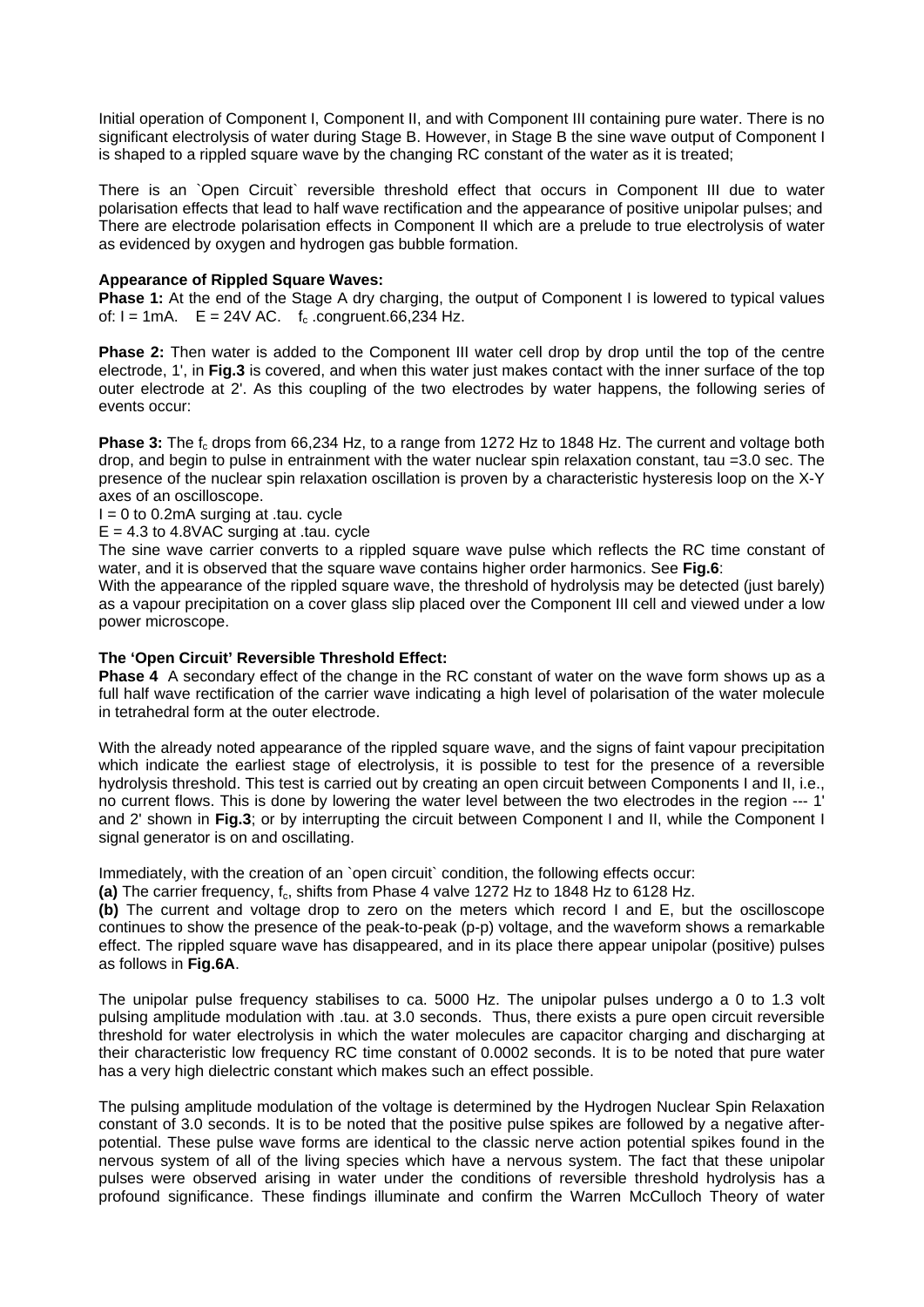Initial operation of Component I, Component II, and with Component III containing pure water. There is no significant electrolysis of water during Stage B. However, in Stage B the sine wave output of Component I is shaped to a rippled square wave by the changing RC constant of the water as it is treated;

There is an `Open Circuit` reversible threshold effect that occurs in Component III due to water polarisation effects that lead to half wave rectification and the appearance of positive unipolar pulses; and There are electrode polarisation effects in Component II which are a prelude to true electrolysis of water as evidenced by oxygen and hydrogen gas bubble formation.

#### **Appearance of Rippled Square Waves:**

**Phase 1:** At the end of the Stage A dry charging, the output of Component I is lowered to typical values of:  $I = 1 \text{ mA}$ .  $E = 24 \text{ V}$  AC.  $f_c$  congruent.66,234 Hz.

**Phase 2:** Then water is added to the Component III water cell drop by drop until the top of the centre electrode, 1', in **Fig.3** is covered, and when this water just makes contact with the inner surface of the top outer electrode at 2'. As this coupling of the two electrodes by water happens, the following series of events occur:

**Phase 3:** The f<sub>c</sub> drops from 66,234 Hz, to a range from 1272 Hz to 1848 Hz. The current and voltage both drop, and begin to pulse in entrainment with the water nuclear spin relaxation constant, tau =3.0 sec. The presence of the nuclear spin relaxation oscillation is proven by a characteristic hysteresis loop on the X-Y axes of an oscilloscope.

 $I = 0$  to 0.2mA surging at .tau. cycle

 $E = 4.3$  to 4.8VAC surging at .tau. cycle

The sine wave carrier converts to a rippled square wave pulse which reflects the RC time constant of water, and it is observed that the square wave contains higher order harmonics. See **Fig.6**:

With the appearance of the rippled square wave, the threshold of hydrolysis may be detected (just barely) as a vapour precipitation on a cover glass slip placed over the Component III cell and viewed under a low power microscope.

#### **The 'Open Circuit' Reversible Threshold Effect:**

**Phase 4** A secondary effect of the change in the RC constant of water on the wave form shows up as a full half wave rectification of the carrier wave indicating a high level of polarisation of the water molecule in tetrahedral form at the outer electrode.

With the already noted appearance of the rippled square wave, and the signs of faint vapour precipitation which indicate the earliest stage of electrolysis, it is possible to test for the presence of a reversible hydrolysis threshold. This test is carried out by creating an open circuit between Components I and II, i.e., no current flows. This is done by lowering the water level between the two electrodes in the region --- 1' and 2' shown in **Fig.3**; or by interrupting the circuit between Component I and II, while the Component I signal generator is on and oscillating.

Immediately, with the creation of an `open circuit` condition, the following effects occur:

(a) The carrier frequency, f<sub>c</sub>, shifts from Phase 4 valve 1272 Hz to 1848 Hz to 6128 Hz.

**(b)** The current and voltage drop to zero on the meters which record I and E, but the oscilloscope continues to show the presence of the peak-to-peak (p-p) voltage, and the waveform shows a remarkable effect. The rippled square wave has disappeared, and in its place there appear unipolar (positive) pulses as follows in **Fig.6A**.

The unipolar pulse frequency stabilises to ca. 5000 Hz. The unipolar pulses undergo a 0 to 1.3 volt pulsing amplitude modulation with .tau. at 3.0 seconds. Thus, there exists a pure open circuit reversible threshold for water electrolysis in which the water molecules are capacitor charging and discharging at their characteristic low frequency RC time constant of 0.0002 seconds. It is to be noted that pure water has a very high dielectric constant which makes such an effect possible.

The pulsing amplitude modulation of the voltage is determined by the Hydrogen Nuclear Spin Relaxation constant of 3.0 seconds. It is to be noted that the positive pulse spikes are followed by a negative afterpotential. These pulse wave forms are identical to the classic nerve action potential spikes found in the nervous system of all of the living species which have a nervous system. The fact that these unipolar pulses were observed arising in water under the conditions of reversible threshold hydrolysis has a profound significance. These findings illuminate and confirm the Warren McCulloch Theory of water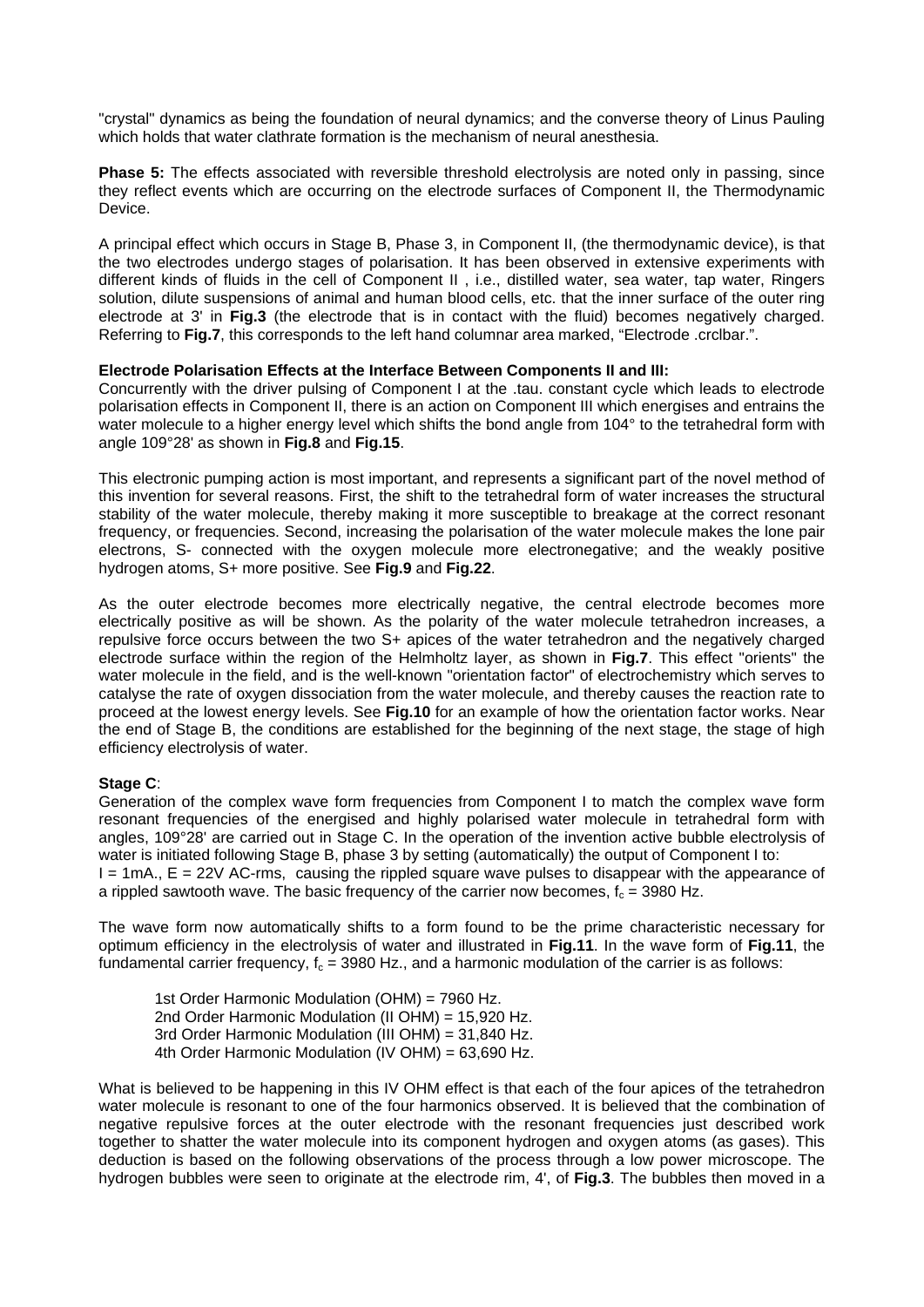"crystal" dynamics as being the foundation of neural dynamics; and the converse theory of Linus Pauling which holds that water clathrate formation is the mechanism of neural anesthesia.

**Phase 5:** The effects associated with reversible threshold electrolysis are noted only in passing, since they reflect events which are occurring on the electrode surfaces of Component II, the Thermodynamic Device.

A principal effect which occurs in Stage B, Phase 3, in Component II, (the thermodynamic device), is that the two electrodes undergo stages of polarisation. It has been observed in extensive experiments with different kinds of fluids in the cell of Component II , i.e., distilled water, sea water, tap water, Ringers solution, dilute suspensions of animal and human blood cells, etc. that the inner surface of the outer ring electrode at 3' in **Fig.3** (the electrode that is in contact with the fluid) becomes negatively charged. Referring to **Fig.7**, this corresponds to the left hand columnar area marked, "Electrode .crclbar.".

#### **Electrode Polarisation Effects at the Interface Between Components II and III:**

Concurrently with the driver pulsing of Component I at the .tau. constant cycle which leads to electrode polarisation effects in Component II, there is an action on Component III which energises and entrains the water molecule to a higher energy level which shifts the bond angle from 104° to the tetrahedral form with angle 109°28' as shown in **Fig.8** and **Fig.15**.

This electronic pumping action is most important, and represents a significant part of the novel method of this invention for several reasons. First, the shift to the tetrahedral form of water increases the structural stability of the water molecule, thereby making it more susceptible to breakage at the correct resonant frequency, or frequencies. Second, increasing the polarisation of the water molecule makes the lone pair electrons, S- connected with the oxygen molecule more electronegative; and the weakly positive hydrogen atoms, S+ more positive. See **Fig.9** and **Fig.22**.

As the outer electrode becomes more electrically negative, the central electrode becomes more electrically positive as will be shown. As the polarity of the water molecule tetrahedron increases, a repulsive force occurs between the two S+ apices of the water tetrahedron and the negatively charged electrode surface within the region of the Helmholtz layer, as shown in **Fig.7**. This effect "orients" the water molecule in the field, and is the well-known "orientation factor" of electrochemistry which serves to catalyse the rate of oxygen dissociation from the water molecule, and thereby causes the reaction rate to proceed at the lowest energy levels. See **Fig.10** for an example of how the orientation factor works. Near the end of Stage B, the conditions are established for the beginning of the next stage, the stage of high efficiency electrolysis of water.

#### **Stage C**:

Generation of the complex wave form frequencies from Component I to match the complex wave form resonant frequencies of the energised and highly polarised water molecule in tetrahedral form with angles, 109°28' are carried out in Stage C. In the operation of the invention active bubble electrolysis of water is initiated following Stage B, phase 3 by setting (automatically) the output of Component I to:  $I = 1$ mA.,  $E = 22V$  AC-rms, causing the rippled square wave pulses to disappear with the appearance of a rippled sawtooth wave. The basic frequency of the carrier now becomes,  $f_c = 3980$  Hz.

The wave form now automatically shifts to a form found to be the prime characteristic necessary for optimum efficiency in the electrolysis of water and illustrated in **Fig.11**. In the wave form of **Fig.11**, the fundamental carrier frequency,  $f_c = 3980$  Hz., and a harmonic modulation of the carrier is as follows:

 1st Order Harmonic Modulation (OHM) = 7960 Hz. 2nd Order Harmonic Modulation (II OHM) = 15,920 Hz. 3rd Order Harmonic Modulation (III OHM) = 31,840 Hz. 4th Order Harmonic Modulation (IV OHM) = 63,690 Hz.

What is believed to be happening in this IV OHM effect is that each of the four apices of the tetrahedron water molecule is resonant to one of the four harmonics observed. It is believed that the combination of negative repulsive forces at the outer electrode with the resonant frequencies just described work together to shatter the water molecule into its component hydrogen and oxygen atoms (as gases). This deduction is based on the following observations of the process through a low power microscope. The hydrogen bubbles were seen to originate at the electrode rim, 4', of **Fig.3**. The bubbles then moved in a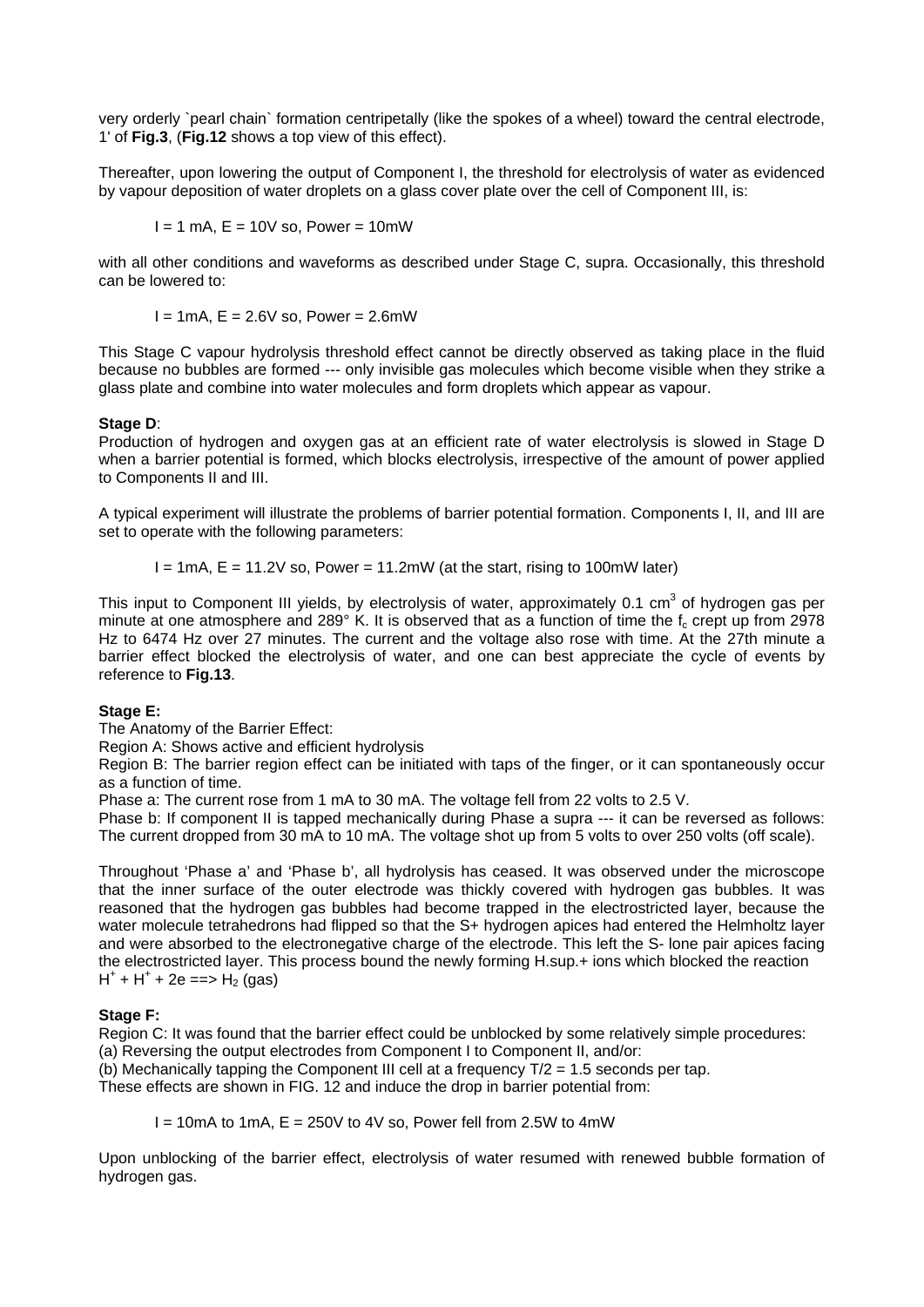very orderly `pearl chain` formation centripetally (like the spokes of a wheel) toward the central electrode, 1' of **Fig.3**, (**Fig.12** shows a top view of this effect).

Thereafter, upon lowering the output of Component I, the threshold for electrolysis of water as evidenced by vapour deposition of water droplets on a glass cover plate over the cell of Component III, is:

$$
I = 1
$$
 mA,  $E = 10V$  so, Power = 10mW

with all other conditions and waveforms as described under Stage C, supra. Occasionally, this threshold can be lowered to:

 $I = 1 \text{mA}$ ,  $E = 2.6V$  so, Power = 2.6mW

This Stage C vapour hydrolysis threshold effect cannot be directly observed as taking place in the fluid because no bubbles are formed --- only invisible gas molecules which become visible when they strike a glass plate and combine into water molecules and form droplets which appear as vapour.

#### **Stage D**:

Production of hydrogen and oxygen gas at an efficient rate of water electrolysis is slowed in Stage D when a barrier potential is formed, which blocks electrolysis, irrespective of the amount of power applied to Components II and III.

A typical experiment will illustrate the problems of barrier potential formation. Components I, II, and III are set to operate with the following parameters:

 $I = 1$ mA,  $E = 11.2V$  so, Power = 11.2mW (at the start, rising to 100mW later)

This input to Component III yields, by electrolysis of water, approximately 0.1 cm<sup>3</sup> of hydrogen gas per minute at one atmosphere and 289 $^{\circ}$  K. It is observed that as a function of time the fc crept up from 2978 Hz to 6474 Hz over 27 minutes. The current and the voltage also rose with time. At the 27th minute a barrier effect blocked the electrolysis of water, and one can best appreciate the cycle of events by reference to **Fig.13**.

#### **Stage E:**

The Anatomy of the Barrier Effect:

Region A: Shows active and efficient hydrolysis

Region B: The barrier region effect can be initiated with taps of the finger, or it can spontaneously occur as a function of time.

Phase a: The current rose from 1 mA to 30 mA. The voltage fell from 22 volts to 2.5 V.

Phase b: If component II is tapped mechanically during Phase a supra --- it can be reversed as follows: The current dropped from 30 mA to 10 mA. The voltage shot up from 5 volts to over 250 volts (off scale).

Throughout 'Phase a' and 'Phase b', all hydrolysis has ceased. It was observed under the microscope that the inner surface of the outer electrode was thickly covered with hydrogen gas bubbles. It was reasoned that the hydrogen gas bubbles had become trapped in the electrostricted layer, because the water molecule tetrahedrons had flipped so that the S+ hydrogen apices had entered the Helmholtz layer and were absorbed to the electronegative charge of the electrode. This left the S- lone pair apices facing the electrostricted layer. This process bound the newly forming H.sup.+ ions which blocked the reaction  $H^+ + H^+ + 2e == > H_2$  (gas)

#### **Stage F:**

Region C: It was found that the barrier effect could be unblocked by some relatively simple procedures: (a) Reversing the output electrodes from Component I to Component II, and/or:

(b) Mechanically tapping the Component III cell at a frequency  $T/2 = 1.5$  seconds per tap.

These effects are shown in FIG. 12 and induce the drop in barrier potential from:

 $I = 10$ mA to 1mA,  $E = 250V$  to 4V so, Power fell from 2.5W to 4mW

Upon unblocking of the barrier effect, electrolysis of water resumed with renewed bubble formation of hydrogen gas.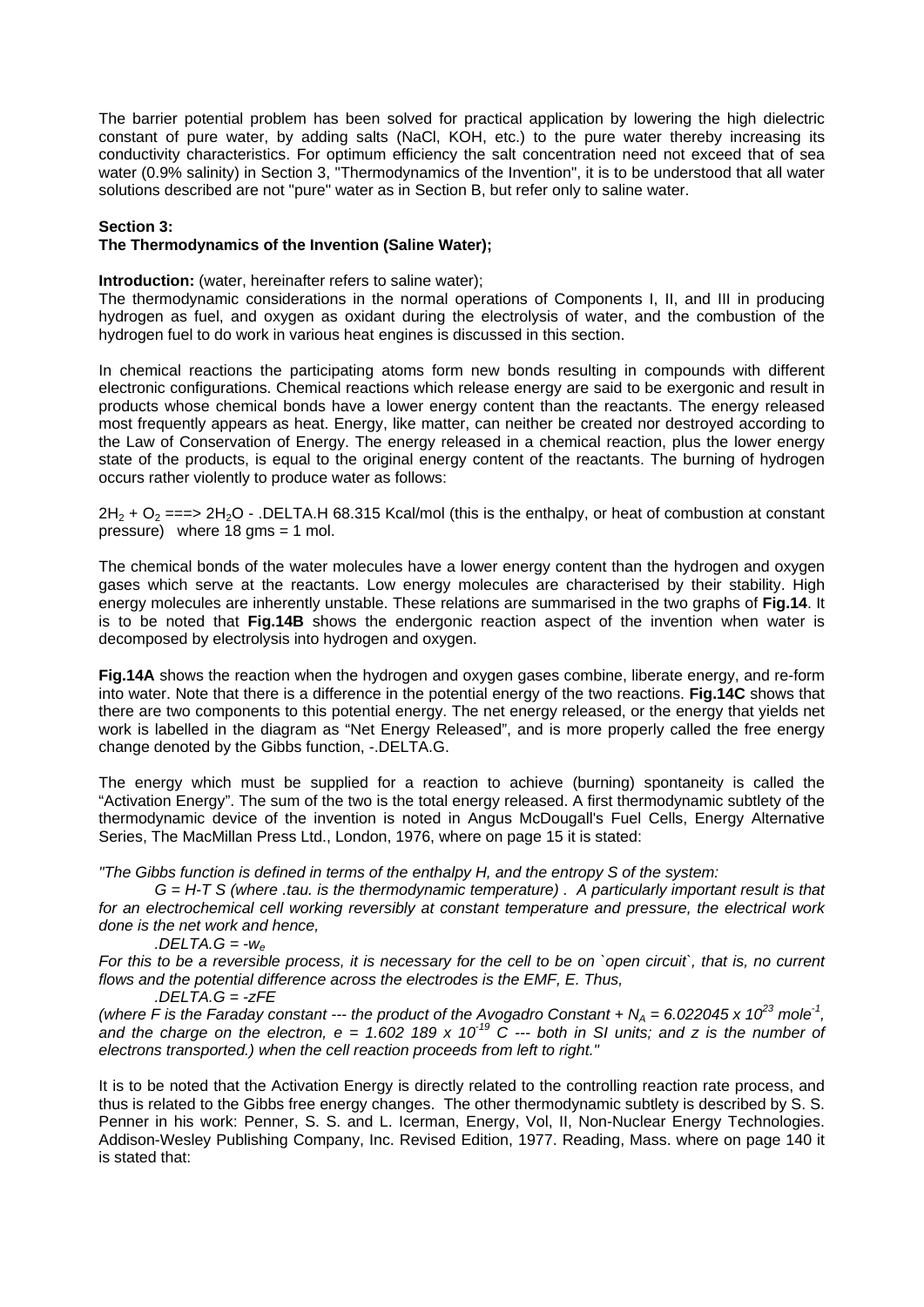The barrier potential problem has been solved for practical application by lowering the high dielectric constant of pure water, by adding salts (NaCl, KOH, etc.) to the pure water thereby increasing its conductivity characteristics. For optimum efficiency the salt concentration need not exceed that of sea water (0.9% salinity) in Section 3, "Thermodynamics of the Invention", it is to be understood that all water solutions described are not "pure" water as in Section B, but refer only to saline water.

#### **Section 3:**

#### **The Thermodynamics of the Invention (Saline Water);**

**Introduction:** (water, hereinafter refers to saline water);

The thermodynamic considerations in the normal operations of Components I, II, and III in producing hydrogen as fuel, and oxygen as oxidant during the electrolysis of water, and the combustion of the hydrogen fuel to do work in various heat engines is discussed in this section.

In chemical reactions the participating atoms form new bonds resulting in compounds with different electronic configurations. Chemical reactions which release energy are said to be exergonic and result in products whose chemical bonds have a lower energy content than the reactants. The energy released most frequently appears as heat. Energy, like matter, can neither be created nor destroyed according to the Law of Conservation of Energy. The energy released in a chemical reaction, plus the lower energy state of the products, is equal to the original energy content of the reactants. The burning of hydrogen occurs rather violently to produce water as follows:

 $2H_2 + O_2 = =\geq 2H_2O$  - .DELTA.H 68.315 Kcal/mol (this is the enthalpy, or heat of combustion at constant pressure) where 18 gms = 1 mol.

The chemical bonds of the water molecules have a lower energy content than the hydrogen and oxygen gases which serve at the reactants. Low energy molecules are characterised by their stability. High energy molecules are inherently unstable. These relations are summarised in the two graphs of **Fig.14**. It is to be noted that **Fig.14B** shows the endergonic reaction aspect of the invention when water is decomposed by electrolysis into hydrogen and oxygen.

**Fig.14A** shows the reaction when the hydrogen and oxygen gases combine, liberate energy, and re-form into water. Note that there is a difference in the potential energy of the two reactions. **Fig.14C** shows that there are two components to this potential energy. The net energy released, or the energy that yields net work is labelled in the diagram as "Net Energy Released", and is more properly called the free energy change denoted by the Gibbs function, -.DELTA.G.

The energy which must be supplied for a reaction to achieve (burning) spontaneity is called the "Activation Energy". The sum of the two is the total energy released. A first thermodynamic subtlety of the thermodynamic device of the invention is noted in Angus McDougall's Fuel Cells, Energy Alternative Series, The MacMillan Press Ltd., London, 1976, where on page 15 it is stated:

*"The Gibbs function is defined in terms of the enthalpy H, and the entropy S of the system:* 

 *G = H-T S (where .tau. is the thermodynamic temperature) . A particularly important result is that for an electrochemical cell working reversibly at constant temperature and pressure, the electrical work done is the net work and hence,* 

 *.DELTA.G = -we* 

*For this to be a reversible process, it is necessary for the cell to be on `open circuit`, that is, no current flows and the potential difference across the electrodes is the EMF, E. Thus,* 

 *.DELTA.G = -zFE* 

(where F is the Faraday constant --- the product of the Avogadro Constant +  $N_A$  = 6.022045 x 10<sup>23</sup> mole<sup>-1</sup>, and the charge on the electron,  $e = 1.602$  189 x 10<sup>-19</sup> C --- both in SI units; and z is the number of *electrons transported.) when the cell reaction proceeds from left to right."*

It is to be noted that the Activation Energy is directly related to the controlling reaction rate process, and thus is related to the Gibbs free energy changes. The other thermodynamic subtlety is described by S. S. Penner in his work: Penner, S. S. and L. Icerman, Energy, Vol, II, Non-Nuclear Energy Technologies. Addison-Wesley Publishing Company, Inc. Revised Edition, 1977. Reading, Mass. where on page 140 it is stated that: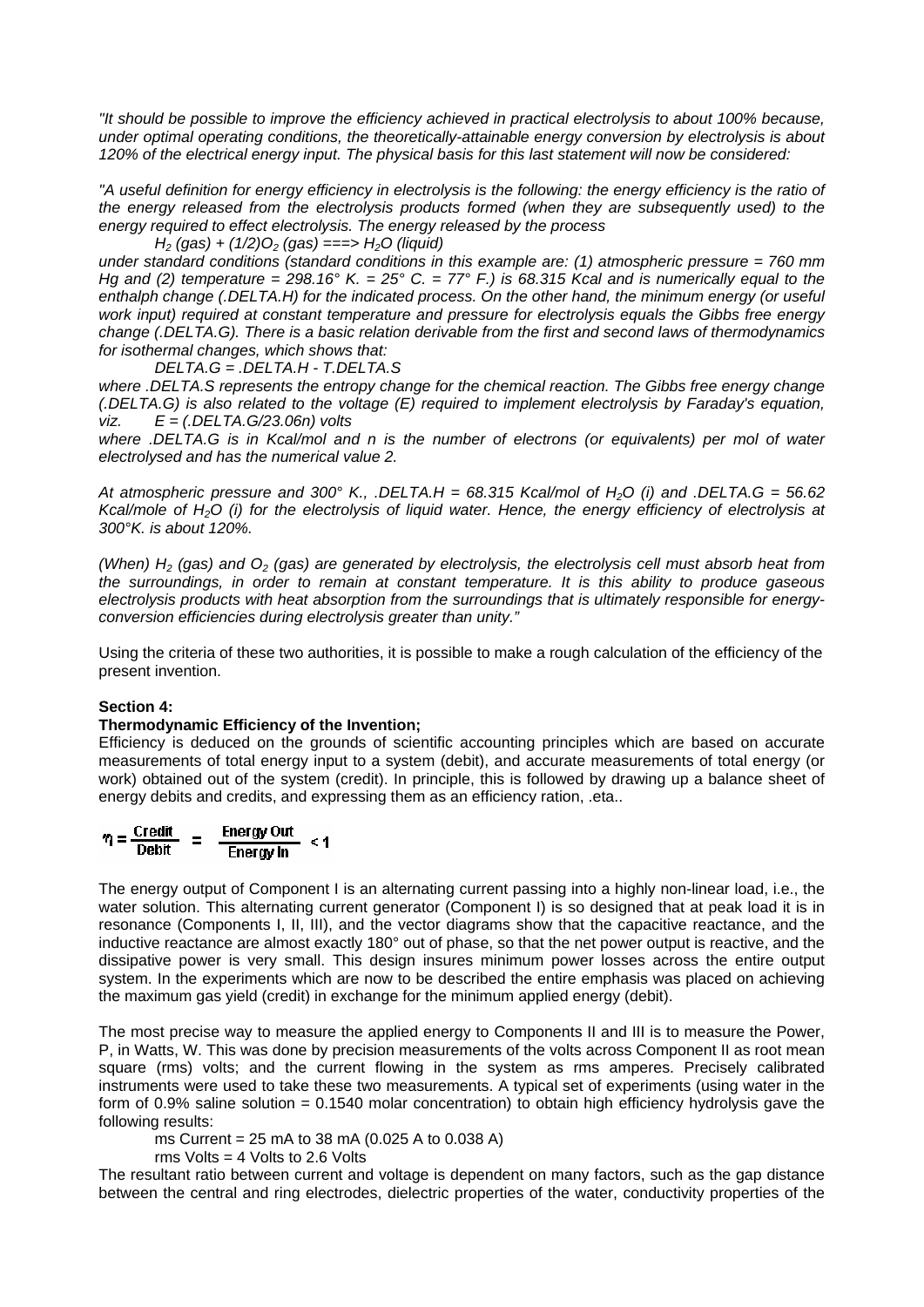*"It should be possible to improve the efficiency achieved in practical electrolysis to about 100% because, under optimal operating conditions, the theoretically-attainable energy conversion by electrolysis is about 120% of the electrical energy input. The physical basis for this last statement will now be considered:* 

*"A useful definition for energy efficiency in electrolysis is the following: the energy efficiency is the ratio of the energy released from the electrolysis products formed (when they are subsequently used) to the energy required to effect electrolysis. The energy released by the process* 

 *H2 (gas) + (1/2)O2 (gas) ===> H2O (liquid) under standard conditions (standard conditions in this example are: (1) atmospheric pressure = 760 mm Hg and (2) temperature = 298.16° K. = 25° C. = 77° F.) is 68.315 Kcal and is numerically equal to the enthalph change (.DELTA.H) for the indicated process. On the other hand, the minimum energy (or useful work input) required at constant temperature and pressure for electrolysis equals the Gibbs free energy change (.DELTA.G). There is a basic relation derivable from the first and second laws of thermodynamics for isothermal changes, which shows that:* 

 *DELTA.G = .DELTA.H - T.DELTA.S* 

*where .DELTA.S represents the entropy change for the chemical reaction. The Gibbs free energy change (.DELTA.G) is also related to the voltage (E) required to implement electrolysis by Faraday's equation, viz. E = (.DELTA.G/23.06n) volts* 

*where .DELTA.G is in Kcal/mol and n is the number of electrons (or equivalents) per mol of water electrolysed and has the numerical value 2.* 

At atmospheric pressure and 300° K., .DELTA.H =  $68.315$  Kcal/mol of H<sub>2</sub>O (i) and .DELTA.G =  $56.62$ *Kcal/mole of H2O (i) for the electrolysis of liquid water. Hence, the energy efficiency of electrolysis at 300°K. is about 120%.*

*(When) H<sub>2</sub> (gas) and O<sub>2</sub> (gas) are generated by electrolysis, the electrolysis cell must absorb heat from the surroundings, in order to remain at constant temperature. It is this ability to produce gaseous electrolysis products with heat absorption from the surroundings that is ultimately responsible for energyconversion efficiencies during electrolysis greater than unity."* 

Using the criteria of these two authorities, it is possible to make a rough calculation of the efficiency of the present invention.

# **Section 4:**

#### **Thermodynamic Efficiency of the Invention;**

Efficiency is deduced on the grounds of scientific accounting principles which are based on accurate measurements of total energy input to a system (debit), and accurate measurements of total energy (or work) obtained out of the system (credit). In principle, this is followed by drawing up a balance sheet of energy debits and credits, and expressing them as an efficiency ration, .eta..

$$
\eta = \frac{\text{Credit}}{\text{Debit}} = \frac{\text{Energy Out}}{\text{Energy In}} < 1
$$

The energy output of Component I is an alternating current passing into a highly non-linear load, i.e., the water solution. This alternating current generator (Component I) is so designed that at peak load it is in resonance (Components I, II, III), and the vector diagrams show that the capacitive reactance, and the inductive reactance are almost exactly 180° out of phase, so that the net power output is reactive, and the dissipative power is very small. This design insures minimum power losses across the entire output system. In the experiments which are now to be described the entire emphasis was placed on achieving the maximum gas yield (credit) in exchange for the minimum applied energy (debit).

The most precise way to measure the applied energy to Components II and III is to measure the Power, P, in Watts, W. This was done by precision measurements of the volts across Component II as root mean square (rms) volts; and the current flowing in the system as rms amperes. Precisely calibrated instruments were used to take these two measurements. A typical set of experiments (using water in the form of 0.9% saline solution = 0.1540 molar concentration) to obtain high efficiency hydrolysis gave the following results:

ms Current = 25 mA to 38 mA (0.025 A to 0.038 A)

rms Volts = 4 Volts to 2.6 Volts

The resultant ratio between current and voltage is dependent on many factors, such as the gap distance between the central and ring electrodes, dielectric properties of the water, conductivity properties of the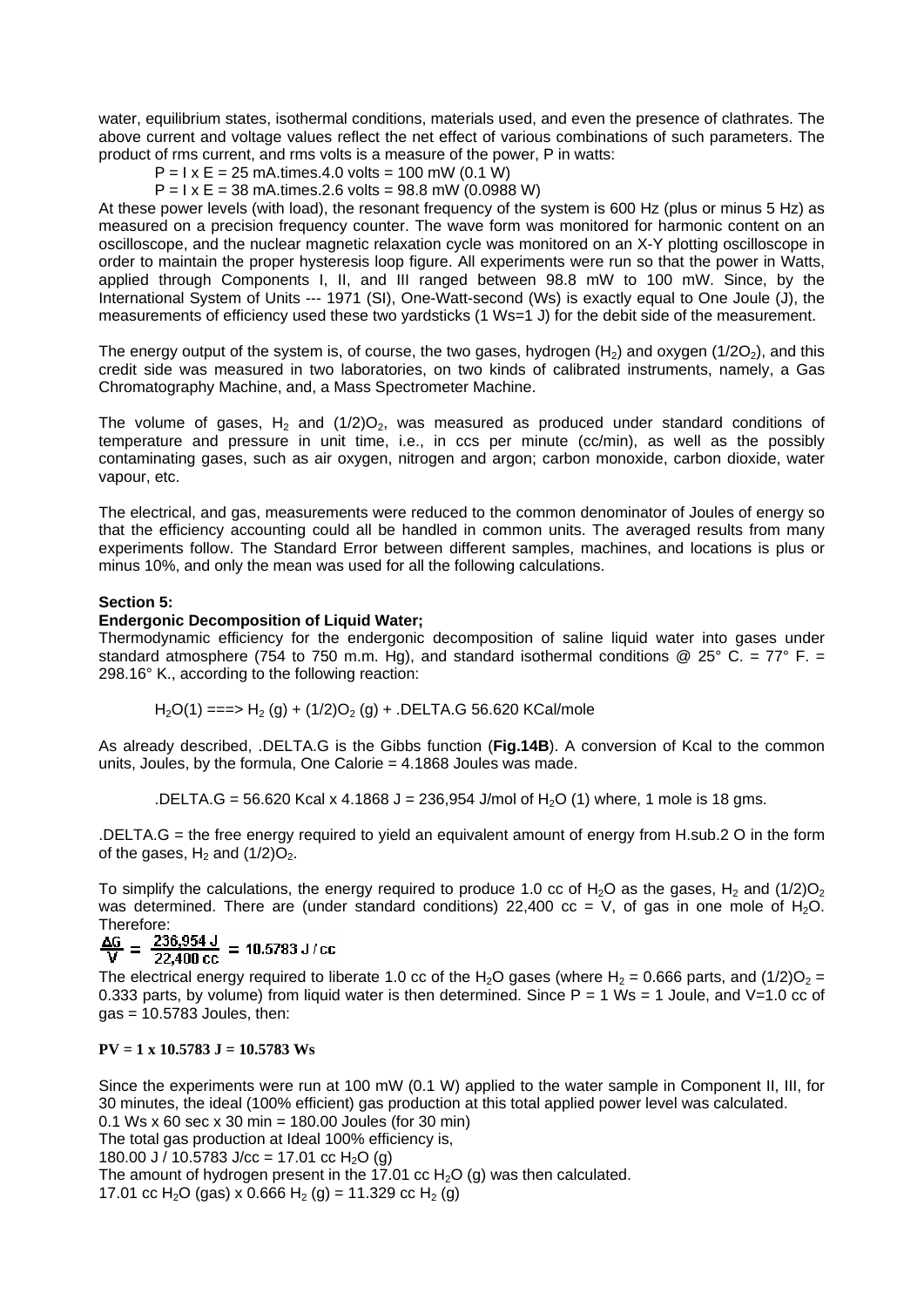water, equilibrium states, isothermal conditions, materials used, and even the presence of clathrates. The above current and voltage values reflect the net effect of various combinations of such parameters. The product of rms current, and rms volts is a measure of the power, P in watts:

$$
P = 1 \times E = 25
$$
 mA times 4.0 volts = 100 mW (0.1 W)

 $P = I \times E = 38$  mA.times. 2.6 volts = 98.8 mW (0.0988 W)

At these power levels (with load), the resonant frequency of the system is 600 Hz (plus or minus 5 Hz) as measured on a precision frequency counter. The wave form was monitored for harmonic content on an oscilloscope, and the nuclear magnetic relaxation cycle was monitored on an X-Y plotting oscilloscope in order to maintain the proper hysteresis loop figure. All experiments were run so that the power in Watts, applied through Components I, II, and III ranged between 98.8 mW to 100 mW. Since, by the International System of Units --- 1971 (SI), One-Watt-second (Ws) is exactly equal to One Joule (J), the measurements of efficiency used these two vardsticks (1 Ws=1 J) for the debit side of the measurement.

The energy output of the system is, of course, the two gases, hydrogen  $(H<sub>2</sub>)$  and oxygen (1/2O<sub>2</sub>), and this credit side was measured in two laboratories, on two kinds of calibrated instruments, namely, a Gas Chromatography Machine, and, a Mass Spectrometer Machine.

The volume of gases,  $H_2$  and  $(1/2)O_2$ , was measured as produced under standard conditions of temperature and pressure in unit time, i.e., in ccs per minute (cc/min), as well as the possibly contaminating gases, such as air oxygen, nitrogen and argon; carbon monoxide, carbon dioxide, water vapour, etc.

The electrical, and gas, measurements were reduced to the common denominator of Joules of energy so that the efficiency accounting could all be handled in common units. The averaged results from many experiments follow. The Standard Error between different samples, machines, and locations is plus or minus 10%, and only the mean was used for all the following calculations.

# **Section 5:**

# **Endergonic Decomposition of Liquid Water;**

Thermodynamic efficiency for the endergonic decomposition of saline liquid water into gases under standard atmosphere (754 to 750 m.m. Hg), and standard isothermal conditions @ 25° C. = 77° F. = 298.16° K., according to the following reaction:

$$
H_2O(1) == > H_2(g) + (1/2)O_2(g) + .DELTA.G 56.620 KCal/mole
$$

As already described, .DELTA.G is the Gibbs function (**Fig.14B**). A conversion of Kcal to the common units, Joules, by the formula, One Calorie = 4.1868 Joules was made.

.DELTA.G = 56.620 Kcal x 4.1868 J = 236,954 J/mol of H<sub>2</sub>O (1) where, 1 mole is 18 gms.

.DELTA.G = the free energy required to yield an equivalent amount of energy from H.sub.2 O in the form of the gases,  $H_2$  and (1/2)O<sub>2</sub>.

To simplify the calculations, the energy required to produce 1.0 cc of H<sub>2</sub>O as the gases, H<sub>2</sub> and (1/2)O<sub>2</sub> was determined. There are (under standard conditions) 22,400 cc = V, of gas in one mole of  $H_2O$ . Therefore:

$$
\frac{\Delta G}{V} = \frac{236,954 \text{ J}}{22,400 \text{ cc}} = 10.5783 \text{ J/cc}
$$

The electrical energy required to liberate 1.0 cc of the H<sub>2</sub>O gases (where H<sub>2</sub> = 0.666 parts, and (1/2)O<sub>2</sub> = 0.333 parts, by volume) from liquid water is then determined. Since  $P = 1$  Ws = 1 Joule, and V=1.0 cc of  $gas = 10.5783$  Joules, then:

# **PV = 1 x 10.5783 J = 10.5783 Ws**

Since the experiments were run at 100 mW (0.1 W) applied to the water sample in Component II, III, for 30 minutes, the ideal (100% efficient) gas production at this total applied power level was calculated.

0.1 Ws x 60 sec x 30 min = 180.00 Joules (for 30 min)

The total gas production at Ideal 100% efficiency is,

180.00 J / 10.5783 J/cc = 17.01 cc H<sub>2</sub>O (g)

The amount of hydrogen present in the 17.01 cc H<sub>2</sub>O (g) was then calculated.

17.01 cc H<sub>2</sub>O (gas) x 0.666 H<sub>2</sub> (g) = 11.329 cc H<sub>2</sub> (g)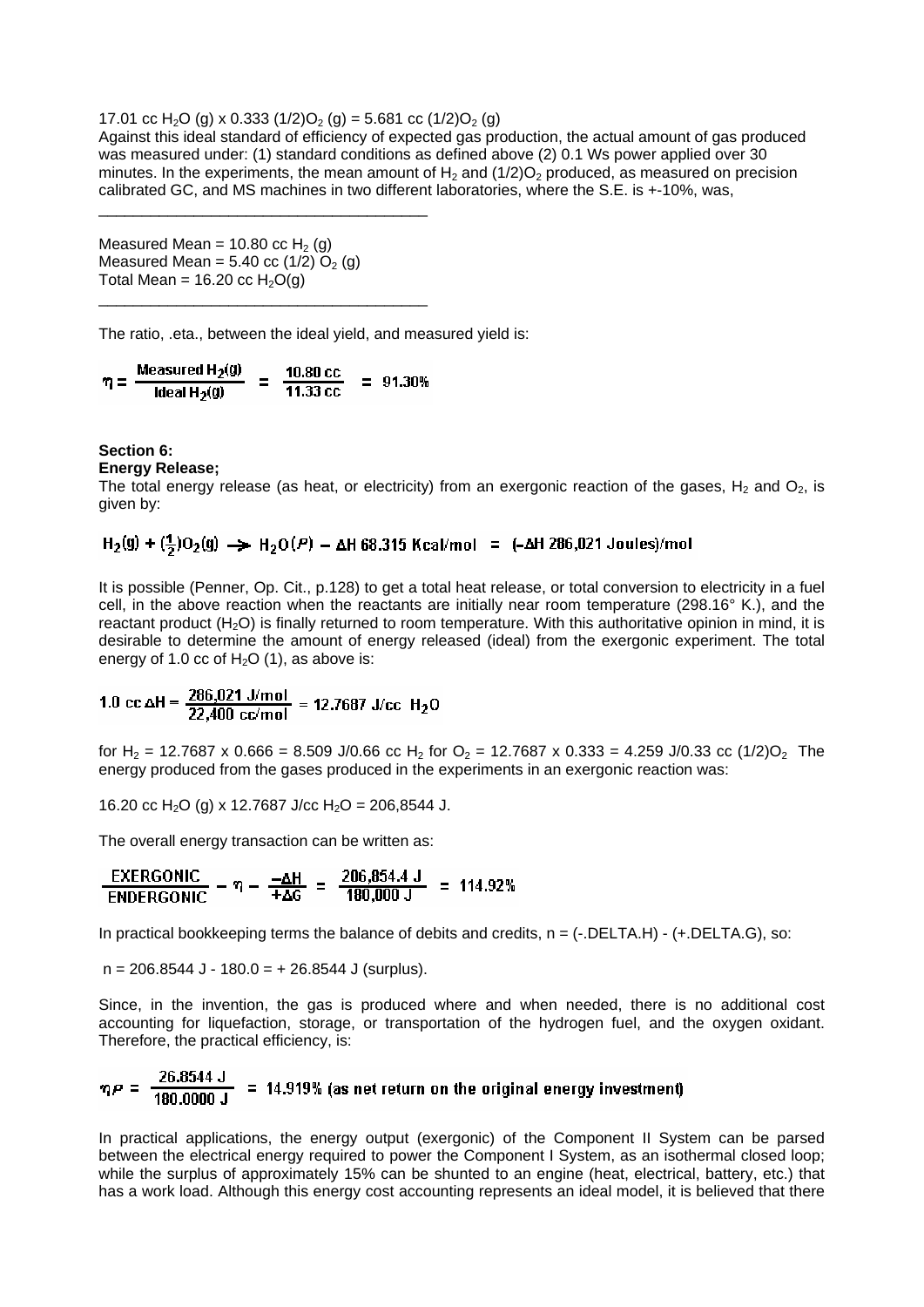17.01 cc H<sub>2</sub>O (g) x 0.333 (1/2)O<sub>2</sub> (g) = 5.681 cc (1/2)O<sub>2</sub> (g)

Against this ideal standard of efficiency of expected gas production, the actual amount of gas produced was measured under: (1) standard conditions as defined above (2) 0.1 Ws power applied over 30 minutes. In the experiments, the mean amount of  $H_2$  and (1/2)O<sub>2</sub> produced, as measured on precision calibrated GC, and MS machines in two different laboratories, where the S.E. is +-10%, was,

Measured Mean = 10.80 cc H<sub>2</sub> (g) Measured Mean =  $5.40$  cc (1/2)  $O_2$  (g) Total Mean = 16.20 cc  $H_2O(q)$ 

The ratio, .eta., between the ideal yield, and measured yield is:

 $\eta = \frac{\text{Measured H}_2(g)}{\text{Ideal H}_2(g)} = \frac{10.80 \text{ cc}}{11.33 \text{ cc}} = 91.30\%$ 

\_\_\_\_\_\_\_\_\_\_\_\_\_\_\_\_\_\_\_\_\_\_\_\_\_\_\_\_\_\_\_\_\_\_\_\_\_\_

\_\_\_\_\_\_\_\_\_\_\_\_\_\_\_\_\_\_\_\_\_\_\_\_\_\_\_\_\_\_\_\_\_\_\_\_\_\_

#### **Section 6:**

#### **Energy Release;**

The total energy release (as heat, or electricity) from an exergonic reaction of the gases,  $H_2$  and  $O_2$ , is given by:

# H<sub>2</sub>(g) + ( $\frac{1}{2}$ )O<sub>2</sub>(g) → H<sub>2</sub>O(*P*) – ΔH 68.315 Kcal/mol = (-ΔH 286,021 Joules)/mol

It is possible (Penner, Op. Cit., p.128) to get a total heat release, or total conversion to electricity in a fuel cell, in the above reaction when the reactants are initially near room temperature (298.16° K.), and the reactant product (H<sub>2</sub>O) is finally returned to room temperature. With this authoritative opinion in mind, it is desirable to determine the amount of energy released (ideal) from the exergonic experiment. The total energy of 1.0 cc of  $H<sub>2</sub>O$  (1), as above is:

1.0 cc  $\Delta H = \frac{286,021 \text{ J/mol}}{22,400 \text{ cc/mol}} = 12.7687 \text{ J/cc}$  H<sub>2</sub>O

for H<sub>2</sub> = 12.7687 x 0.666 = 8.509 J/0.66 cc H<sub>2</sub> for  $O_2$  = 12.7687 x 0.333 = 4.259 J/0.33 cc (1/2) $O_2$  The energy produced from the gases produced in the experiments in an exergonic reaction was:

16.20 cc H<sub>2</sub>O (g) x 12.7687 J/cc H<sub>2</sub>O = 206,8544 J.

The overall energy transaction can be written as:

$$
\frac{\text{EXERGONIC}}{\text{ENDERGONIC}} - \eta - \frac{-\Delta H}{+\Delta G} = \frac{206,854.4 \text{ J}}{180,000 \text{ J}} = 114.92\%
$$

In practical bookkeeping terms the balance of debits and credits, n = (-.DELTA.H) - (+.DELTA.G), so:

 $n = 206.8544$  J - 180.0 =  $+ 26.8544$  J (surplus).

Since, in the invention, the gas is produced where and when needed, there is no additional cost accounting for liquefaction, storage, or transportation of the hydrogen fuel, and the oxygen oxidant. Therefore, the practical efficiency, is:

$$
\eta P = \frac{26.8544 \text{ J}}{180.0000 \text{ J}} = 14.919\%
$$
 (as net return on the original energy investment)

In practical applications, the energy output (exergonic) of the Component II System can be parsed between the electrical energy required to power the Component I System, as an isothermal closed loop; while the surplus of approximately 15% can be shunted to an engine (heat, electrical, battery, etc.) that has a work load. Although this energy cost accounting represents an ideal model, it is believed that there